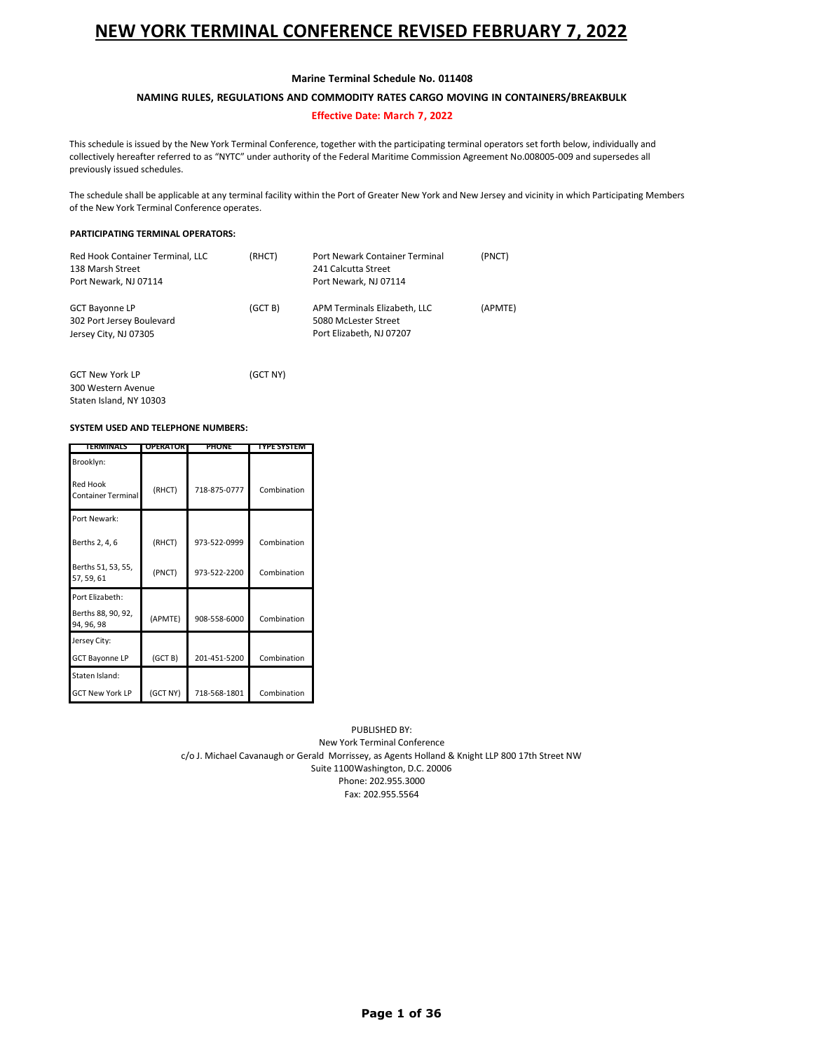### **Marine Terminal Schedule No. 011408**

### **NAMING RULES, REGULATIONS AND COMMODITY RATES CARGO MOVING IN CONTAINERS/BREAKBULK**

### **Effective Date: March 7, 2022**

This schedule is issued by the New York Terminal Conference, together with the participating terminal operators set forth below, individually and collectively hereafter referred to as "NYTC" under authority of the Federal Maritime Commission Agreement No.008005-009 and supersedes all previously issued schedules.

The schedule shall be applicable at any terminal facility within the Port of Greater New York and New Jersey and vicinity in which Participating Members of the New York Terminal Conference operates.

### **PARTICIPATING TERMINAL OPERATORS:**

| Red Hook Container Terminal, LLC<br>138 Marsh Street<br>Port Newark, NJ 07114 | (RHCT)  | Port Newark Container Terminal<br>241 Calcutta Street<br>Port Newark, NJ 07114   | (PNCT)  |
|-------------------------------------------------------------------------------|---------|----------------------------------------------------------------------------------|---------|
| <b>GCT Bayonne LP</b><br>302 Port Jersey Boulevard<br>Jersey City, NJ 07305   | (GCT B) | APM Terminals Elizabeth, LLC<br>5080 McLester Street<br>Port Elizabeth, NJ 07207 | (APMTE) |

| <b>GCT New York LP</b>  | (GCT NY) |
|-------------------------|----------|
| 300 Western Avenue      |          |
| Staten Island, NY 10303 |          |

#### **SYSTEM USED AND TELEPHONE NUMBERS:**

| TERMINALS                                    | <b>OPERATOR</b> | <b>PHONE</b> | <b>TYPE SYSTEM</b> |
|----------------------------------------------|-----------------|--------------|--------------------|
| Brooklyn:                                    |                 |              |                    |
| <b>Red Hook</b><br><b>Container Terminal</b> | (RHCT)          | 718-875-0777 | Combination        |
| Port Newark:                                 |                 |              |                    |
| Berths 2, 4, 6                               | (RHCT)          | 973-522-0999 | Combination        |
| Berths 51, 53, 55,<br>57, 59, 61             | (PNCT)          | 973-522-2200 | Combination        |
| Port Elizabeth:                              |                 |              |                    |
| Berths 88, 90, 92,<br>94, 96, 98             | (APMTE)         | 908-558-6000 | Combination        |
| Jersey City:                                 |                 |              |                    |
| <b>GCT Bayonne LP</b>                        | (GCTB)          | 201-451-5200 | Combination        |
| Staten Island:                               |                 |              |                    |
| <b>GCT New York LP</b>                       | (GCT NY)        | 718-568-1801 | Combination        |

PUBLISHED BY:

New York Terminal Conference c/o J. Michael Cavanaugh or Gerald Morrissey, as Agents Holland & Knight LLP 800 17th Street NW Suite 1100Washington, D.C. 20006 Phone: 202.955.3000 Fax: 202.955.5564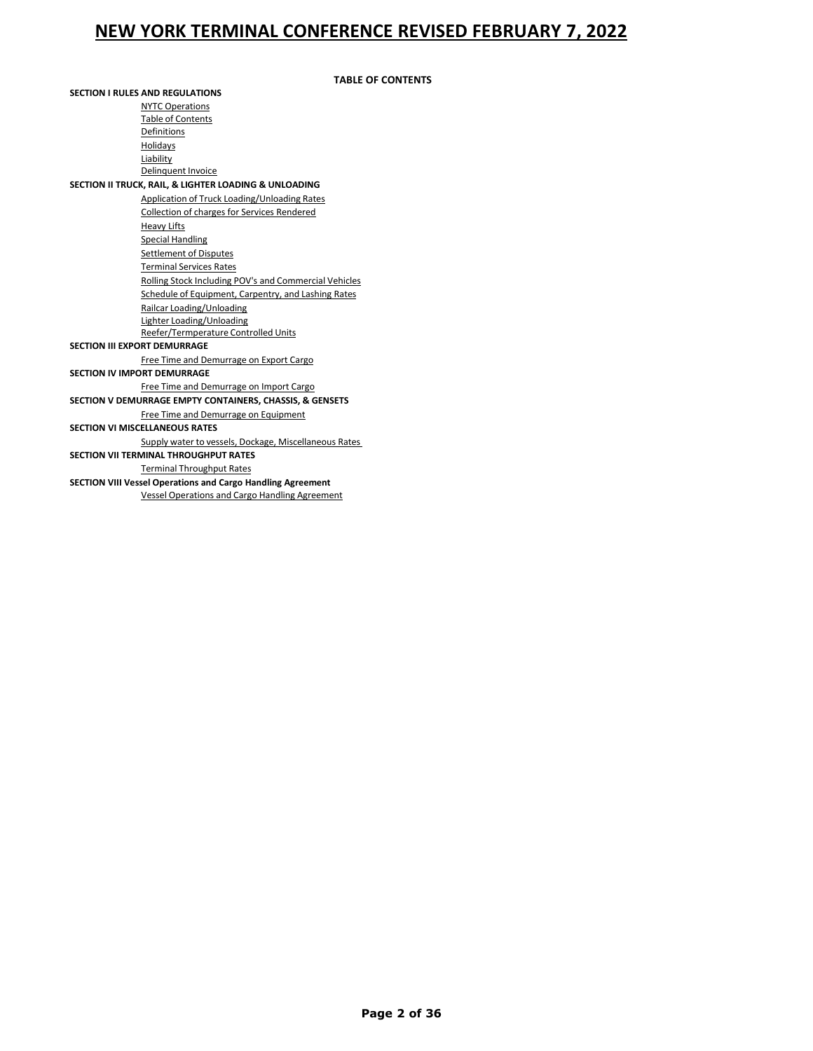### **TABLE OF CONTENTS**

| <b>SECTION I RULES AND REGULATIONS</b> |                                                                    |  |  |  |
|----------------------------------------|--------------------------------------------------------------------|--|--|--|
|                                        | <b>NYTC Operations</b>                                             |  |  |  |
|                                        | <b>Table of Contents</b>                                           |  |  |  |
|                                        | Definitions                                                        |  |  |  |
|                                        | Holidays                                                           |  |  |  |
|                                        | Liability                                                          |  |  |  |
|                                        | Delinquent Invoice                                                 |  |  |  |
|                                        | SECTION II TRUCK, RAIL, & LIGHTER LOADING & UNLOADING              |  |  |  |
|                                        | Application of Truck Loading/Unloading Rates                       |  |  |  |
|                                        | Collection of charges for Services Rendered                        |  |  |  |
|                                        | <b>Heavy Lifts</b>                                                 |  |  |  |
|                                        | <b>Special Handling</b>                                            |  |  |  |
|                                        | <b>Settlement of Disputes</b>                                      |  |  |  |
|                                        | <b>Terminal Services Rates</b>                                     |  |  |  |
|                                        | Rolling Stock Including POV's and Commercial Vehicles              |  |  |  |
|                                        | Schedule of Equipment, Carpentry, and Lashing Rates                |  |  |  |
|                                        | Railcar Loading/Unloading                                          |  |  |  |
|                                        | Lighter Loading/Unloading                                          |  |  |  |
|                                        | Reefer/Termperature Controlled Units                               |  |  |  |
|                                        | <b>SECTION III EXPORT DEMURRAGE</b>                                |  |  |  |
|                                        | Free Time and Demurrage on Export Cargo                            |  |  |  |
|                                        | <b>SECTION IV IMPORT DEMURRAGE</b>                                 |  |  |  |
|                                        | Free Time and Demurrage on Import Cargo                            |  |  |  |
|                                        | SECTION V DEMURRAGE EMPTY CONTAINERS, CHASSIS, & GENSETS           |  |  |  |
|                                        | Free Time and Demurrage on Equipment                               |  |  |  |
|                                        | <b>SECTION VI MISCELLANEOUS RATES</b>                              |  |  |  |
|                                        | Supply water to vessels, Dockage, Miscellaneous Rates              |  |  |  |
|                                        | <b>SECTION VII TERMINAL THROUGHPUT RATES</b>                       |  |  |  |
|                                        | <b>Terminal Throughput Rates</b>                                   |  |  |  |
|                                        | <b>SECTION VIII Vessel Operations and Cargo Handling Agreement</b> |  |  |  |
|                                        | <b>Vessel Operations and Cargo Handling Agreement</b>              |  |  |  |
|                                        |                                                                    |  |  |  |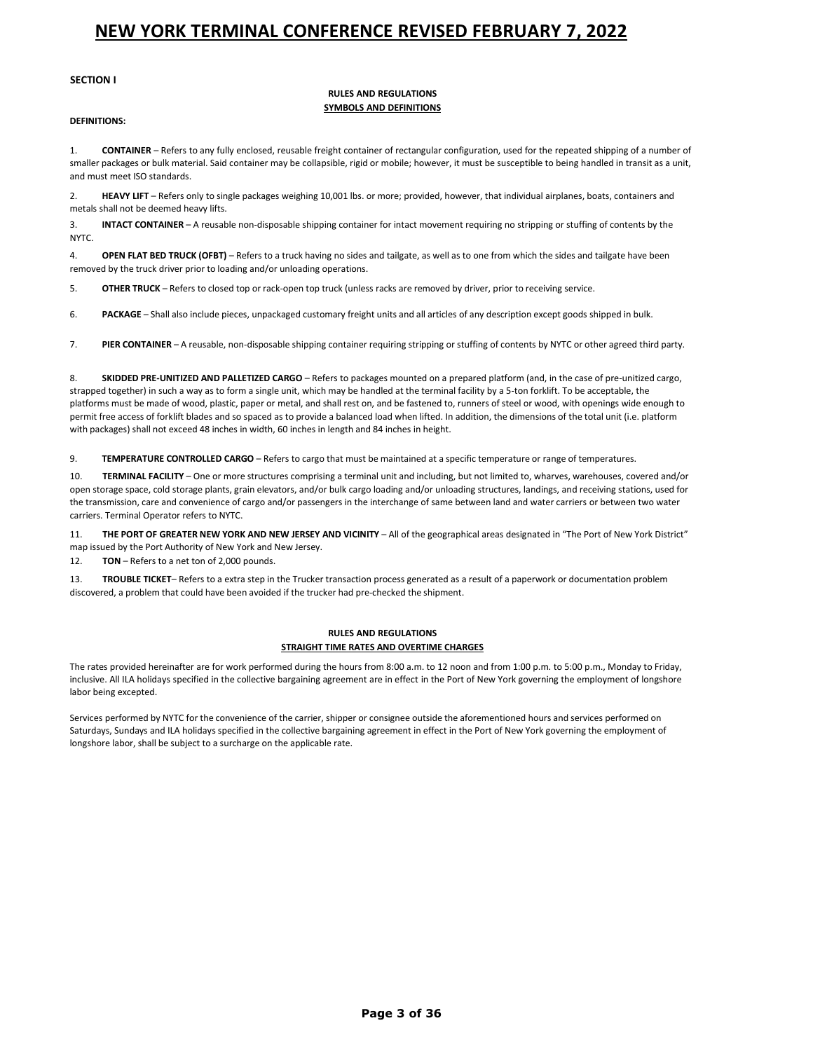#### **SECTION I**

#### **RULES AND REGULATIONS SYMBOLS AND DEFINITIONS**

#### **DEFINITIONS:**

1. **CONTAINER** – Refers to any fully enclosed, reusable freight container of rectangular configuration, used for the repeated shipping of a number of smaller packages or bulk material. Said container may be collapsible, rigid or mobile; however, it must be susceptible to being handled in transit as a unit, and must meet ISO standards.

2. **HEAVY LIFT** – Refers only to single packages weighing 10,001 lbs. or more; provided, however, that individual airplanes, boats, containers and metals shall not be deemed heavy lifts.

3. **INTACT CONTAINER** – A reusable non-disposable shipping container for intact movement requiring no stripping or stuffing of contents by the NYTC.

4. **OPEN FLAT BED TRUCK (OFBT)** – Refers to a truck having no sides and tailgate, as well as to one from which the sides and tailgate have been removed by the truck driver prior to loading and/or unloading operations.

5. **OTHER TRUCK** – Refers to closed top or rack-open top truck (unless racks are removed by driver, prior to receiving service.

6. **PACKAGE** – Shall also include pieces, unpackaged customary freight units and all articles of any description except goods shipped in bulk.

7. **PIER CONTAINER** – A reusable, non-disposable shipping container requiring stripping or stuffing of contents by NYTC or other agreed third party.

8. **SKIDDED PRE-UNITIZED AND PALLETIZED CARGO** – Refers to packages mounted on a prepared platform (and, in the case of pre-unitized cargo, strapped together) in such a way as to form a single unit, which may be handled at the terminal facility by a 5-ton forklift. To be acceptable, the platforms must be made of wood, plastic, paper or metal, and shall rest on, and be fastened to, runners of steel or wood, with openings wide enough to permit free access of forklift blades and so spaced as to provide a balanced load when lifted. In addition, the dimensions of the total unit (i.e. platform with packages) shall not exceed 48 inches in width, 60 inches in length and 84 inches in height.

9. **TEMPERATURE CONTROLLED CARGO** – Refers to cargo that must be maintained at a specific temperature or range of temperatures.

10. **TERMINAL FACILITY** – One or more structures comprising a terminal unit and including, but not limited to, wharves, warehouses, covered and/or open storage space, cold storage plants, grain elevators, and/or bulk cargo loading and/or unloading structures, landings, and receiving stations, used for the transmission, care and convenience of cargo and/or passengers in the interchange of same between land and water carriers or between two water carriers. Terminal Operator refers to NYTC.

11. **THE PORT OF GREATER NEW YORK AND NEW JERSEY AND VICINITY** – All of the geographical areas designated in "The Port of New York District" map issued by the Port Authority of New York and New Jersey.

12. **TON** – Refers to a net ton of 2,000 pounds.

13. **TROUBLE TICKET**– Refers to a extra step in the Trucker transaction process generated as a result of a paperwork or documentation problem discovered, a problem that could have been avoided if the trucker had pre-checked the shipment.

#### **RULES AND REGULATIONS STRAIGHT TIME RATES AND OVERTIME CHARGES**

The rates provided hereinafter are for work performed during the hours from 8:00 a.m. to 12 noon and from 1:00 p.m. to 5:00 p.m., Monday to Friday, inclusive. All ILA holidays specified in the collective bargaining agreement are in effect in the Port of New York governing the employment of longshore labor being excepted.

Services performed by NYTC for the convenience of the carrier, shipper or consignee outside the aforementioned hours and services performed on Saturdays, Sundays and ILA holidays specified in the collective bargaining agreement in effect in the Port of New York governing the employment of longshore labor, shall be subject to a surcharge on the applicable rate.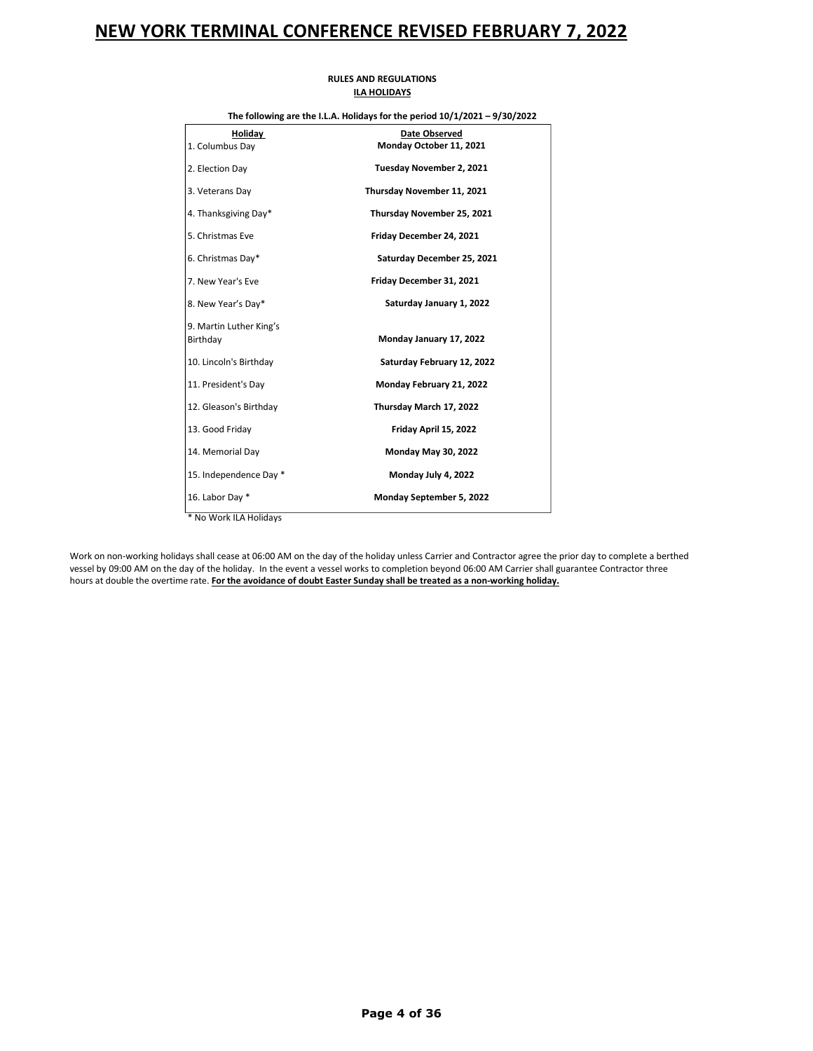| The following are the I.L.A. Holidays for the period $10/1/2021 - 9/30/2022$ |                                                 |  |  |
|------------------------------------------------------------------------------|-------------------------------------------------|--|--|
| Holiday<br>1. Columbus Day                                                   | <b>Date Observed</b><br>Monday October 11, 2021 |  |  |
| 2. Election Day                                                              | Tuesday November 2, 2021                        |  |  |
| 3. Veterans Day                                                              | Thursday November 11, 2021                      |  |  |
| 4. Thanksgiving Day*                                                         | Thursday November 25, 2021                      |  |  |
| 5. Christmas Eve                                                             | Friday December 24, 2021                        |  |  |
| 6. Christmas Day*                                                            | Saturday December 25, 2021                      |  |  |
| 7. New Year's Eve                                                            | Friday December 31, 2021                        |  |  |
| 8. New Year's Day*                                                           | Saturday January 1, 2022                        |  |  |
| 9. Martin Luther King's<br>Birthday                                          | Monday January 17, 2022                         |  |  |
| 10. Lincoln's Birthday                                                       | Saturday February 12, 2022                      |  |  |
| 11. President's Day                                                          | Monday February 21, 2022                        |  |  |
| 12. Gleason's Birthday                                                       | Thursday March 17, 2022                         |  |  |
| 13. Good Friday                                                              | Friday April 15, 2022                           |  |  |
| 14. Memorial Day                                                             | Monday May 30, 2022                             |  |  |
| 15. Independence Day *                                                       | Monday July 4, 2022                             |  |  |
| 16. Labor Day *                                                              | Monday September 5, 2022                        |  |  |
| * No Work ILA Holidays                                                       |                                                 |  |  |

### **RULES AND REGULATIONS ILA HOLIDAYS**

Work on non-working holidays shall cease at 06:00 AM on the day of the holiday unless Carrier and Contractor agree the prior day to complete a berthed vessel by 09:00 AM on the day of the holiday. In the event a vessel works to completion beyond 06:00 AM Carrier shall guarantee Contractor three hours at double the overtime rate. **For the avoidance of doubt Easter Sunday shall be treated as a non-working holiday.**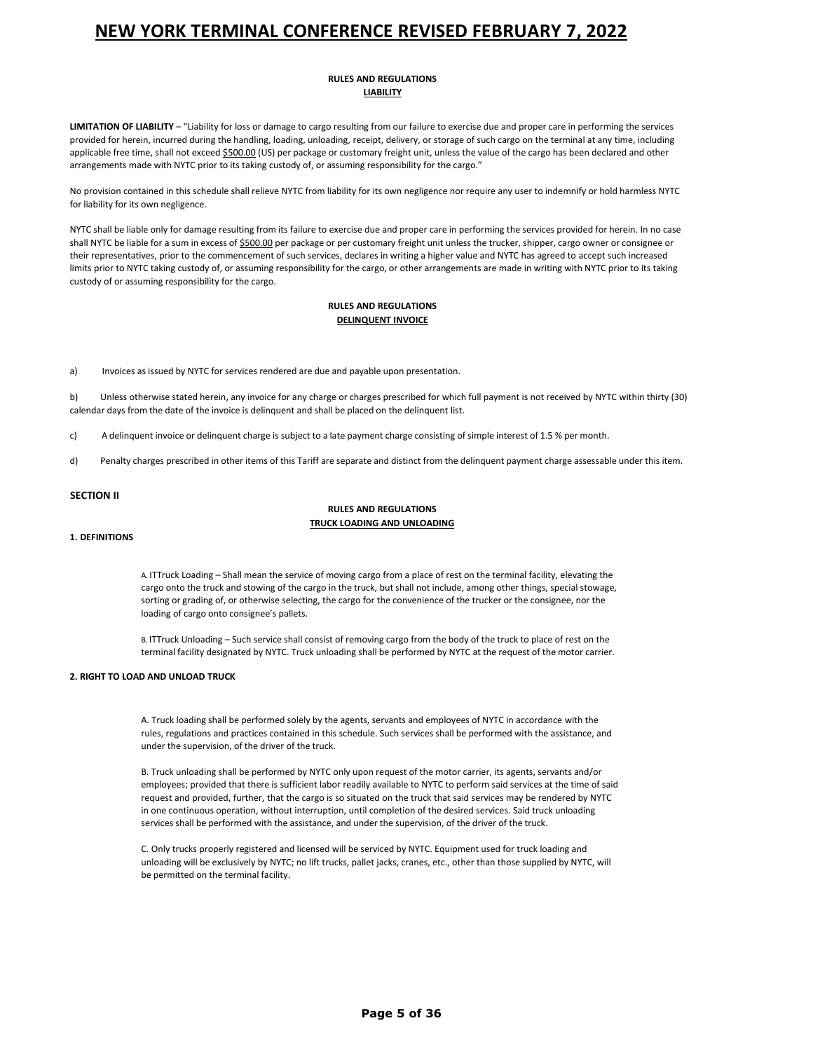### **RULES AND REGULATIONS LIABILITY**

**LIMITATION OF LIABILITY** – "Liability for loss or damage to cargo resulting from our failure to exercise due and proper care in performing the services provided for herein, incurred during the handling, loading, unloading, receipt, delivery, or storage of such cargo on the terminal at any time, including applicable free time, shall not exceed \$500.00 (US) per package or customary freight unit, unless the value of the cargo has been declared and other arrangements made with NYTC prior to its taking custody of, or assuming responsibility for the cargo."

No provision contained in this schedule shall relieve NYTC from liability for its own negligence nor require any user to indemnify or hold harmless NYTC for liability for its own negligence.

NYTC shall be liable only for damage resulting from its failure to exercise due and proper care in performing the services provided for herein. In no case shall NYTC be liable for a sum in excess of \$500.00 per package or per customary freight unit unless the trucker, shipper, cargo owner or consignee or their representatives, prior to the commencement of such services, declares in writing a higher value and NYTC has agreed to accept such increased limits prior to NYTC taking custody of, or assuming responsibility for the cargo, or other arrangements are made in writing with NYTC prior to its taking custody of or assuming responsibility for the cargo.

### **RULES AND REGULATIONS DELINQUENT INVOICE**

a) Invoices as issued by NYTC for services rendered are due and payable upon presentation.

b) Unless otherwise stated herein, any invoice for any charge or charges prescribed for which full payment is not received by NYTC within thirty (30) calendar days from the date of the invoice is delinquent and shall be placed on the delinquent list.

c) A delinquent invoice or delinquent charge is subject to a late payment charge consisting of simple interest of 1.5 % per month.

d) Penalty charges prescribed in other items of this Tariff are separate and distinct from the delinquent payment charge assessable under this item.

### **SECTION II**

### **RULES AND REGULATIONS TRUCK LOADING AND UNLOADING**

#### **1. DEFINITIONS**

A. ITTruck Loading – Shall mean the service of moving cargo from a place of rest on the terminal facility, elevating the cargo onto the truck and stowing of the cargo in the truck, but shall not include, among other things, special stowage, sorting or grading of, or otherwise selecting, the cargo for the convenience of the trucker or the consignee, nor the loading of cargo onto consignee's pallets.

B. ITTruck Unloading – Such service shall consist of removing cargo from the body of the truck to place of rest on the terminal facility designated by NYTC. Truck unloading shall be performed by NYTC at the request of the motor carrier.

### **2. RIGHT TO LOAD AND UNLOAD TRUCK**

A. Truck loading shall be performed solely by the agents, servants and employees of NYTC in accordance with the rules, regulations and practices contained in this schedule. Such services shall be performed with the assistance, and under the supervision, of the driver of the truck.

B. Truck unloading shall be performed by NYTC only upon request of the motor carrier, its agents, servants and/or employees; provided that there is sufficient labor readily available to NYTC to perform said services at the time of said request and provided, further, that the cargo is so situated on the truck that said services may be rendered by NYTC in one continuous operation, without interruption, until completion of the desired services. Said truck unloading services shall be performed with the assistance, and under the supervision, of the driver of the truck.

C. Only trucks properly registered and licensed will be serviced by NYTC. Equipment used for truck loading and unloading will be exclusively by NYTC; no lift trucks, pallet jacks, cranes, etc., other than those supplied by NYTC, will be permitted on the terminal facility.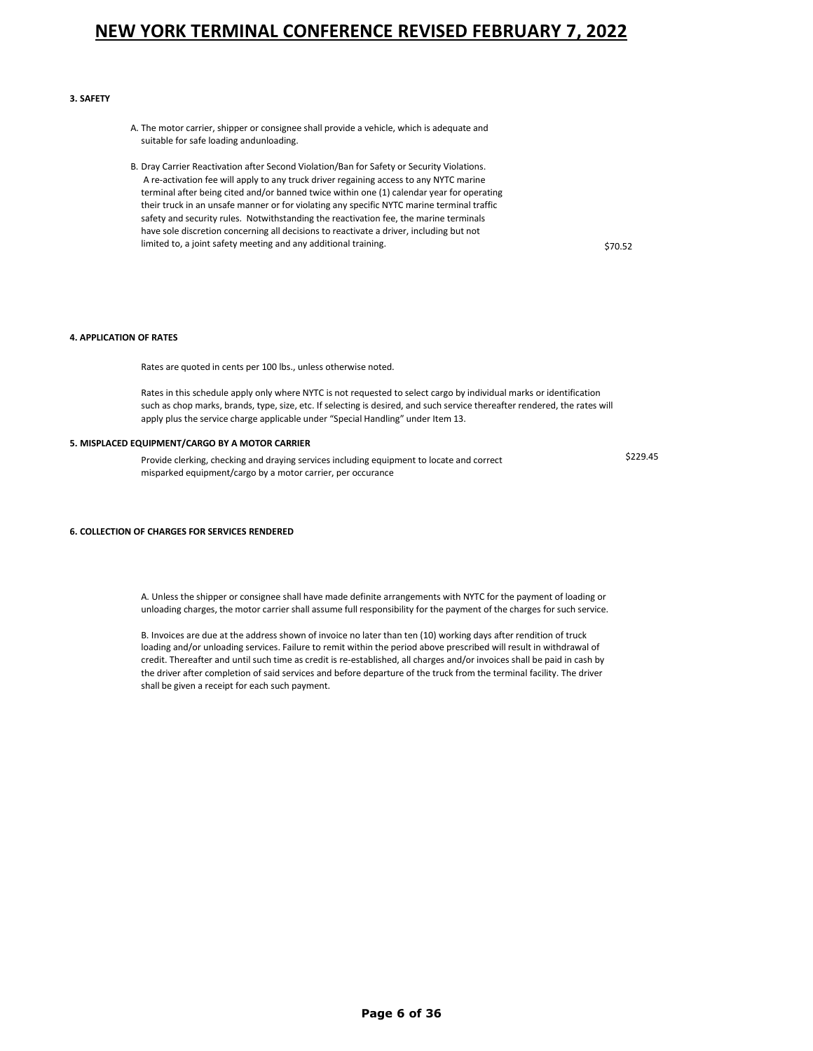#### **3. SAFETY**

- A. The motor carrier, shipper or consignee shall provide a vehicle, which is adequate and suitable for safe loading andunloading.
- B. Dray Carrier Reactivation after Second Violation/Ban for Safety or Security Violations. A re-activation fee will apply to any truck driver regaining access to any NYTC marine terminal after being cited and/or banned twice within one (1) calendar year for operating their truck in an unsafe manner or for violating any specific NYTC marine terminal traffic safety and security rules. Notwithstanding the reactivation fee, the marine terminals have sole discretion concerning all decisions to reactivate a driver, including but not limited to, a joint safety meeting and any additional training. <br>\$70.52

### **4. APPLICATION OF RATES**

Rates are quoted in cents per 100 lbs., unless otherwise noted.

Rates in this schedule apply only where NYTC is not requested to select cargo by individual marks or identification such as chop marks, brands, type, size, etc. If selecting is desired, and such service thereafter rendered, the rates will apply plus the service charge applicable under "Special Handling" under Item 13.

#### **5. MISPLACED EQUIPMENT/CARGO BY A MOTOR CARRIER**

Provide clerking, checking and draying services including equipment to locate and correct misparked equipment/cargo by a motor carrier, per occurance

\$229.45

#### **6. COLLECTION OF CHARGES FOR SERVICES RENDERED**

A. Unless the shipper or consignee shall have made definite arrangements with NYTC for the payment of loading or unloading charges, the motor carrier shall assume full responsibility for the payment of the charges for such service.

B. Invoices are due at the address shown of invoice no later than ten (10) working days after rendition of truck loading and/or unloading services. Failure to remit within the period above prescribed will result in withdrawal of credit. Thereafter and until such time as credit is re-established, all charges and/or invoices shall be paid in cash by the driver after completion of said services and before departure of the truck from the terminal facility. The driver shall be given a receipt for each such payment.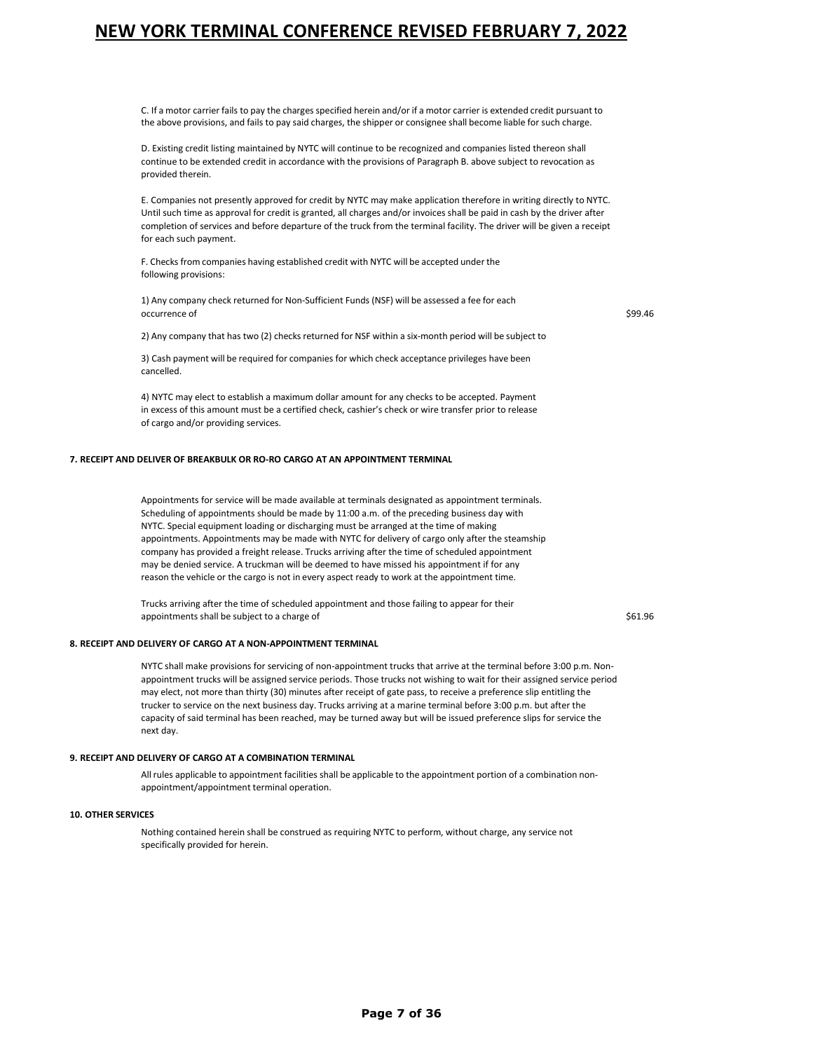C. If a motor carrier fails to pay the charges specified herein and/or if a motor carrier is extended credit pursuant to the above provisions, and fails to pay said charges, the shipper or consignee shall become liable for such charge.

D. Existing credit listing maintained by NYTC will continue to be recognized and companies listed thereon shall continue to be extended credit in accordance with the provisions of Paragraph B. above subject to revocation as provided therein.

E. Companies not presently approved for credit by NYTC may make application therefore in writing directly to NYTC. Until such time as approval for credit is granted, all charges and/or invoices shall be paid in cash by the driver after completion of services and before departure of the truck from the terminal facility. The driver will be given a receipt for each such payment.

F. Checks from companies having established credit with NYTC will be accepted under the following provisions:

1) Any company check returned for Non-Sufficient Funds (NSF) will be assessed a fee for each occurrence of \$99.46  $\sim$ 

2) Any company that has two (2) checks returned for NSF within a six-month period will be subject to

3) Cash payment will be required for companies for which check acceptance privileges have been cancelled.

4) NYTC may elect to establish a maximum dollar amount for any checks to be accepted. Payment in excess of this amount must be a certified check, cashier's check or wire transfer prior to release of cargo and/or providing services.

#### **7. RECEIPT AND DELIVER OF BREAKBULK OR RO-RO CARGO AT AN APPOINTMENT TERMINAL**

Appointments for service will be made available at terminals designated as appointment terminals. Scheduling of appointments should be made by 11:00 a.m. of the preceding business day with NYTC. Special equipment loading or discharging must be arranged at the time of making appointments. Appointments may be made with NYTC for delivery of cargo only after the steamship company has provided a freight release. Trucks arriving after the time of scheduled appointment may be denied service. A truckman will be deemed to have missed his appointment if for any reason the vehicle or the cargo is not in every aspect ready to work at the appointment time.

Trucks arriving after the time of scheduled appointment and those failing to appear for their appointments shall be subject to a charge of  $$61.96$ 

#### **8. RECEIPT AND DELIVERY OF CARGO AT A NON-APPOINTMENT TERMINAL**

NYTC shall make provisions for servicing of non-appointment trucks that arrive at the terminal before 3:00 p.m. Nonappointment trucks will be assigned service periods. Those trucks not wishing to wait for their assigned service period may elect, not more than thirty (30) minutes after receipt of gate pass, to receive a preference slip entitling the trucker to service on the next business day. Trucks arriving at a marine terminal before 3:00 p.m. but after the capacity of said terminal has been reached, may be turned away but will be issued preference slips for service the next day.

#### **9. RECEIPT AND DELIVERY OF CARGO AT A COMBINATION TERMINAL**

All rules applicable to appointment facilities shall be applicable to the appointment portion of a combination nonappointment/appointment terminal operation.

#### **10. OTHER SERVICES**

Nothing contained herein shall be construed as requiring NYTC to perform, without charge, any service not specifically provided for herein.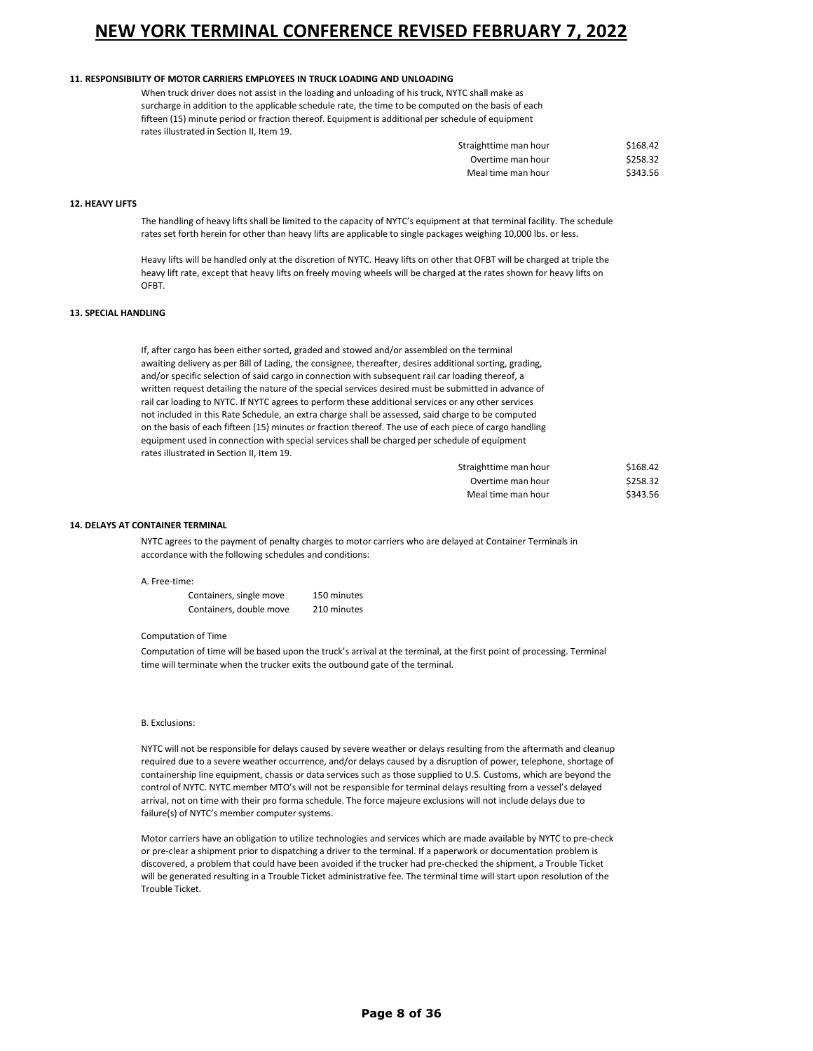#### **11. RESPONSIBILITY OF MOTOR CARRIERS EMPLOYEES IN TRUCK LOADING AND UNLOADING**

When truck driver does not assist in the loading and unloading of his truck, NYTC shall make as surcharge in addition to the applicable schedule rate, the time to be computed on the basis of each fifteen (15) minute period or fraction thereof. Equipment is additional per schedule of equipment rates illustrated in Section II, Item 19.

| Straighttime man hour | \$168.42 |
|-----------------------|----------|
| Overtime man hour     | \$258.32 |
| Meal time man hour    | \$343.56 |

#### **12. HEAVY LIFTS**

The handling of heavy lifts shall be limited to the capacity of NYTC's equipment at that terminal facility. The schedule rates set forth herein for other than heavy lifts are applicable to single packages weighing 10,000 lbs. or less.

Heavy lifts will be handled only at the discretion of NYTC. Heavy lifts on other that OFBT will be charged at triple the heavy lift rate, except that heavy lifts on freely moving wheels will be charged at the rates shown for heavy lifts on **OFBT** 

### **13. SPECIAL HANDLING**

If, after cargo has been either sorted, graded and stowed and/or assembled on the terminal awaiting delivery as per Bill of Lading, the consignee, thereafter, desires additional sorting, grading, and/or specific selection of said cargo in connection with subsequent rail car loading thereof, a written request detailing the nature of the special services desired must be submitted in advance of rail car loading to NYTC. If NYTC agrees to perform these additional services or any other services not included in this Rate Schedule, an extra charge shall be assessed, said charge to be computed on the basis of each fifteen (15) minutes or fraction thereof. The use of each piece of cargo handling equipment used in connection with special services shall be charged perschedule of equipment rates illustrated in Section II, Item 19.

| Straighttime man hour | \$168.42 |
|-----------------------|----------|
| Overtime man hour     | \$258.32 |
| Meal time man hour    | \$343.56 |

#### **14. DELAYS AT CONTAINER TERMINAL**

NYTC agrees to the payment of penalty charges to motor carriers who are delayed at Container Terminals in accordance with the following schedules and conditions:

#### A. Free-time:

| Containers, single move | 150 minutes |
|-------------------------|-------------|
| Containers, double move | 210 minutes |

#### Computation of Time

Computation of time will be based upon the truck's arrival at the terminal, at the first point of processing. Terminal time will terminate when the trucker exits the outbound gate of the terminal.

#### B. Exclusions:

NYTC will not be responsible for delays caused by severe weather or delays resulting from the aftermath and cleanup required due to a severe weather occurrence, and/or delays caused by a disruption of power, telephone, shortage of containership line equipment, chassis or data services such as those supplied to U.S. Customs, which are beyond the control of NYTC. NYTC member MTO's will not be responsible for terminal delays resulting from a vessel's delayed arrival, not on time with their pro forma schedule. The force majeure exclusions will not include delays due to failure(s) of NYTC's member computer systems.

Motor carriers have an obligation to utilize technologies and services which are made available by NYTC to pre-check or pre-clear a shipment prior to dispatching a driver to the terminal. If a paperwork or documentation problem is discovered, a problem that could have been avoided if the trucker had pre-checked the shipment, a Trouble Ticket will be generated resulting in a Trouble Ticket administrative fee. The terminal time will start upon resolution of the Trouble Ticket.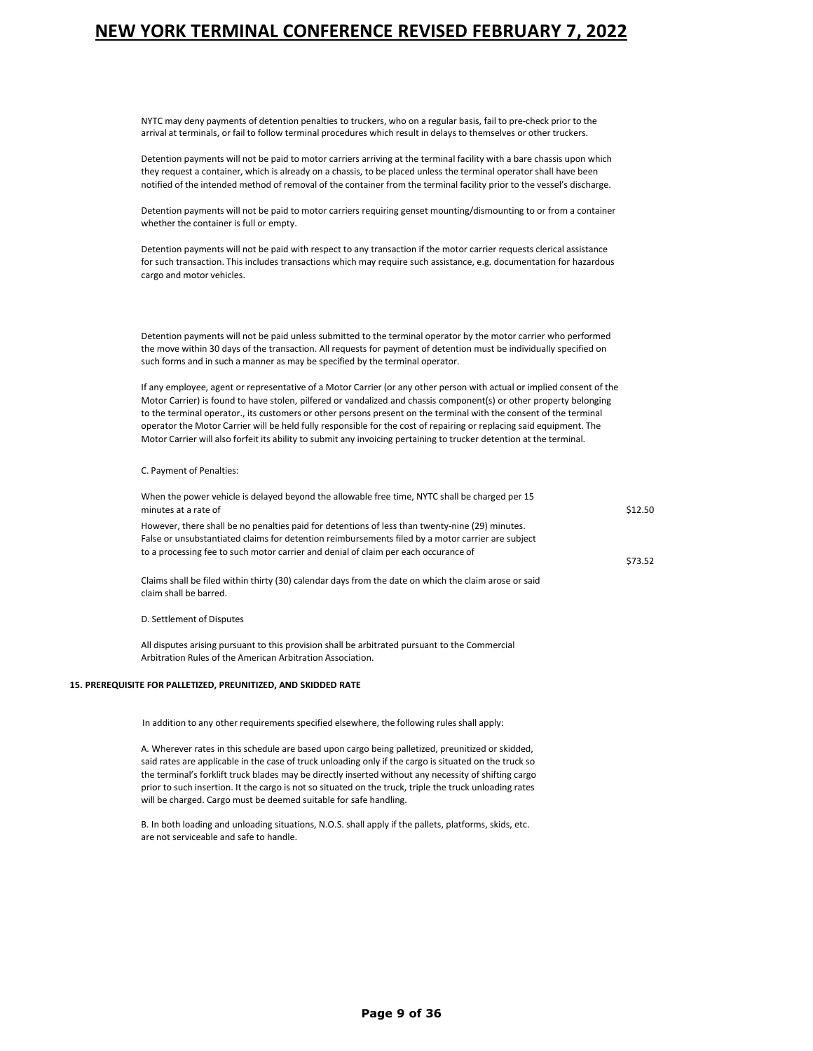NYTC may deny payments of detention penalties to truckers, who on a regular basis, fail to pre-check prior to the arrival at terminals, or fail to follow terminal procedures which result in delays to themselves or other truckers.

Detention payments will not be paid to motor carriers arriving at the terminal facility with a bare chassis upon which they request a container, which is already on a chassis, to be placed unless the terminal operator shall have been notified of the intended method of removal of the container from the terminal facility prior to the vessel's discharge.

Detention payments will not be paid to motor carriers requiring genset mounting/dismounting to or from a container whether the container is full or empty.

Detention payments will not be paid with respect to any transaction if the motor carrier requests clerical assistance for such transaction. This includes transactions which may require such assistance, e.g. documentation for hazardous cargo and motor vehicles.

Detention payments will not be paid unless submitted to the terminal operator by the motor carrier who performed the move within 30 days of the transaction. All requests for payment of detention must be individually specified on such forms and in such a manner as may be specified by the terminal operator.

If any employee, agent or representative of a Motor Carrier (or any other person with actual or implied consent of the Motor Carrier) is found to have stolen, pilfered or vandalized and chassis component(s) or other property belonging to the terminal operator., its customers or other persons present on the terminal with the consent of the terminal operator the Motor Carrier will be held fully responsible for the cost of repairing or replacing said equipment. The Motor Carrier will also forfeit its ability to submit any invoicing pertaining to trucker detention at the terminal.

#### C. Payment of Penalties:

| When the power vehicle is delayed beyond the allowable free time, NYTC shall be charged per 15                                                                                                                                                                                              |         |
|---------------------------------------------------------------------------------------------------------------------------------------------------------------------------------------------------------------------------------------------------------------------------------------------|---------|
| minutes at a rate of                                                                                                                                                                                                                                                                        | \$12.50 |
| However, there shall be no penalties paid for detentions of less than twenty-nine (29) minutes.<br>False or unsubstantiated claims for detention reimbursements filed by a motor carrier are subject<br>to a processing fee to such motor carrier and denial of claim per each occurance of | \$73.52 |
| Claims shall be filed within thirty (30) calendar days from the date on which the claim arose or said                                                                                                                                                                                       |         |

D. Settlement of Disputes

claim shall be barred.

All disputes arising pursuant to this provision shall be arbitrated pursuant to the Commercial Arbitration Rules of the American Arbitration Association.

#### **15. PREREQUISITE FOR PALLETIZED, PREUNITIZED, AND SKIDDED RATE**

In addition to any other requirements specified elsewhere, the following rules shall apply:

A. Wherever rates in this schedule are based upon cargo being palletized, preunitized or skidded, said rates are applicable in the case of truck unloading only if the cargo is situated on the truck so the terminal's forklift truck blades may be directly inserted without any necessity of shifting cargo prior to such insertion. It the cargo is not so situated on the truck, triple the truck unloading rates will be charged. Cargo must be deemed suitable for safe handling.

B. In both loading and unloading situations, N.O.S. shall apply if the pallets, platforms, skids, etc. are not serviceable and safe to handle.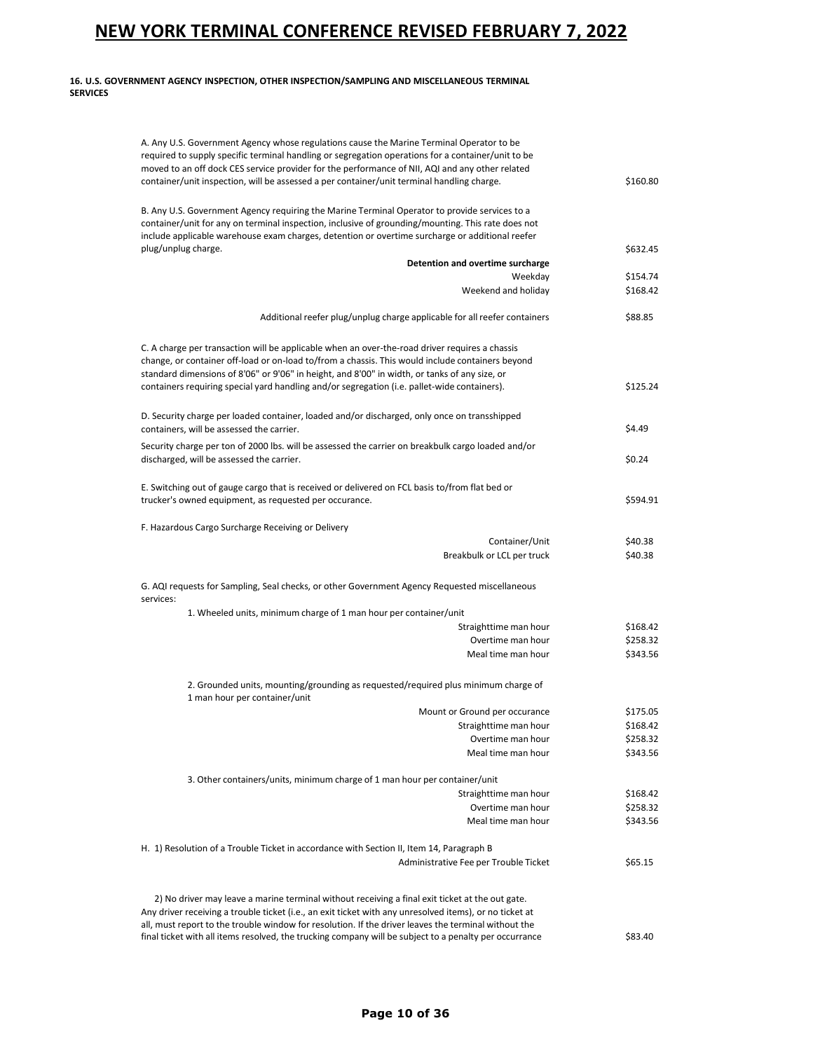### **16. U.S. GOVERNMENT AGENCY INSPECTION, OTHER INSPECTION/SAMPLING AND MISCELLANEOUS TERMINAL SERVICES**

| A. Any U.S. Government Agency whose regulations cause the Marine Terminal Operator to be<br>required to supply specific terminal handling or segregation operations for a container/unit to be |                      |
|------------------------------------------------------------------------------------------------------------------------------------------------------------------------------------------------|----------------------|
| moved to an off dock CES service provider for the performance of NII, AQI and any other related                                                                                                |                      |
| container/unit inspection, will be assessed a per container/unit terminal handling charge.                                                                                                     | \$160.80             |
| B. Any U.S. Government Agency requiring the Marine Terminal Operator to provide services to a                                                                                                  |                      |
| container/unit for any on terminal inspection, inclusive of grounding/mounting. This rate does not                                                                                             |                      |
| include applicable warehouse exam charges, detention or overtime surcharge or additional reefer                                                                                                |                      |
| plug/unplug charge.                                                                                                                                                                            | \$632.45             |
| Detention and overtime surcharge                                                                                                                                                               |                      |
| Weekday<br>Weekend and holiday                                                                                                                                                                 | \$154.74<br>\$168.42 |
|                                                                                                                                                                                                |                      |
| Additional reefer plug/unplug charge applicable for all reefer containers                                                                                                                      | \$88.85              |
| C. A charge per transaction will be applicable when an over-the-road driver requires a chassis                                                                                                 |                      |
| change, or container off-load or on-load to/from a chassis. This would include containers beyond                                                                                               |                      |
| standard dimensions of 8'06" or 9'06" in height, and 8'00" in width, or tanks of any size, or                                                                                                  |                      |
| containers requiring special yard handling and/or segregation (i.e. pallet-wide containers).                                                                                                   | \$125.24             |
| D. Security charge per loaded container, loaded and/or discharged, only once on transshipped                                                                                                   |                      |
| containers, will be assessed the carrier.                                                                                                                                                      | \$4.49               |
| Security charge per ton of 2000 lbs. will be assessed the carrier on breakbulk cargo loaded and/or                                                                                             |                      |
| discharged, will be assessed the carrier.                                                                                                                                                      | \$0.24               |
| E. Switching out of gauge cargo that is received or delivered on FCL basis to/from flat bed or                                                                                                 |                      |
| trucker's owned equipment, as requested per occurance.                                                                                                                                         | \$594.91             |
| F. Hazardous Cargo Surcharge Receiving or Delivery                                                                                                                                             |                      |
| Container/Unit                                                                                                                                                                                 | \$40.38              |
| Breakbulk or LCL per truck                                                                                                                                                                     | \$40.38              |
| G. AQI requests for Sampling, Seal checks, or other Government Agency Requested miscellaneous<br>services:                                                                                     |                      |
| 1. Wheeled units, minimum charge of 1 man hour per container/unit                                                                                                                              |                      |
| Straighttime man hour                                                                                                                                                                          | \$168.42             |
| Overtime man hour                                                                                                                                                                              | \$258.32             |
| Meal time man hour                                                                                                                                                                             | \$343.56             |
| 2. Grounded units, mounting/grounding as requested/required plus minimum charge of<br>1 man hour per container/unit                                                                            |                      |
| Mount or Ground per occurance                                                                                                                                                                  | \$175.05             |
| Straighttime man hour                                                                                                                                                                          | \$168.42             |
| Overtime man hour                                                                                                                                                                              | \$258.32             |
| Meal time man hour                                                                                                                                                                             | \$343.56             |
| 3. Other containers/units, minimum charge of 1 man hour per container/unit                                                                                                                     |                      |
| Straighttime man hour                                                                                                                                                                          | \$168.42             |
| Overtime man hour                                                                                                                                                                              | \$258.32             |
| Meal time man hour                                                                                                                                                                             | \$343.56             |
| H. 1) Resolution of a Trouble Ticket in accordance with Section II, Item 14, Paragraph B                                                                                                       |                      |
| Administrative Fee per Trouble Ticket                                                                                                                                                          | \$65.15              |
| 2) No driver may leave a marine terminal without receiving a final exit ticket at the out gate.                                                                                                |                      |
| Any driver receiving a trouble ticket (i.e., an exit ticket with any unresolved items), or no ticket at                                                                                        |                      |
| all, must report to the trouble window for resolution. If the driver leaves the terminal without the                                                                                           |                      |
| final ticket with all items resolved, the trucking company will be subject to a penalty per occurrance                                                                                         | \$83.40              |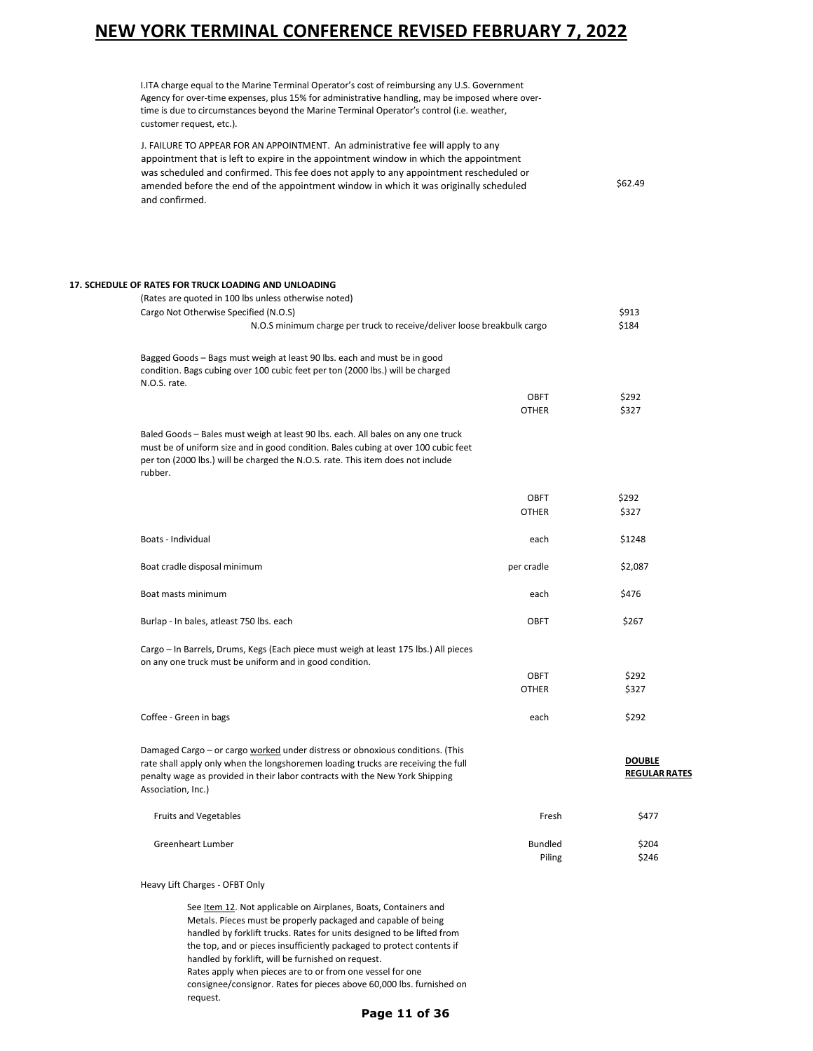I.ITA charge equal to the Marine Terminal Operator's cost of reimbursing any U.S. Government Agency for over-time expenses, plus 15% for administrative handling, may be imposed where overtime is due to circumstances beyond the Marine Terminal Operator's control (i.e. weather, customer request, etc.).

J. FAILURE TO APPEAR FOR AN APPOINTMENT. An administrative fee will apply to any appointment that is left to expire in the appointment window in which the appointment was scheduled and confirmed. This fee does not apply to any appointment rescheduled or amended before the end of the appointment window in which it was originally scheduled and confirmed. \$62.49

| 17. SCHEDULE OF RATES FOR TRUCK LOADING AND UNLOADING<br>(Rates are quoted in 100 lbs unless otherwise noted)                                                                                                                                                            |                |                                       |
|--------------------------------------------------------------------------------------------------------------------------------------------------------------------------------------------------------------------------------------------------------------------------|----------------|---------------------------------------|
| Cargo Not Otherwise Specified (N.O.S)                                                                                                                                                                                                                                    |                | \$913                                 |
| N.O.S minimum charge per truck to receive/deliver loose breakbulk cargo                                                                                                                                                                                                  |                | \$184                                 |
|                                                                                                                                                                                                                                                                          |                |                                       |
| Bagged Goods - Bags must weigh at least 90 lbs. each and must be in good<br>condition. Bags cubing over 100 cubic feet per ton (2000 lbs.) will be charged<br>N.O.S. rate.                                                                                               |                |                                       |
|                                                                                                                                                                                                                                                                          | <b>OBFT</b>    | \$292                                 |
|                                                                                                                                                                                                                                                                          | <b>OTHER</b>   | \$327                                 |
| Baled Goods - Bales must weigh at least 90 lbs. each. All bales on any one truck<br>must be of uniform size and in good condition. Bales cubing at over 100 cubic feet<br>per ton (2000 lbs.) will be charged the N.O.S. rate. This item does not include                |                |                                       |
| rubber.                                                                                                                                                                                                                                                                  |                |                                       |
|                                                                                                                                                                                                                                                                          | <b>OBFT</b>    | \$292                                 |
|                                                                                                                                                                                                                                                                          | <b>OTHER</b>   | \$327                                 |
| Boats - Individual                                                                                                                                                                                                                                                       | each           | \$1248                                |
| Boat cradle disposal minimum                                                                                                                                                                                                                                             | per cradle     | \$2,087                               |
| Boat masts minimum                                                                                                                                                                                                                                                       | each           | \$476                                 |
| Burlap - In bales, atleast 750 lbs. each                                                                                                                                                                                                                                 | <b>OBFT</b>    | \$267                                 |
| Cargo - In Barrels, Drums, Kegs (Each piece must weigh at least 175 lbs.) All pieces<br>on any one truck must be uniform and in good condition.                                                                                                                          |                |                                       |
|                                                                                                                                                                                                                                                                          | <b>OBFT</b>    | \$292                                 |
|                                                                                                                                                                                                                                                                          | <b>OTHER</b>   | \$327                                 |
| Coffee - Green in bags                                                                                                                                                                                                                                                   | each           | \$292                                 |
| Damaged Cargo - or cargo worked under distress or obnoxious conditions. (This<br>rate shall apply only when the longshoremen loading trucks are receiving the full<br>penalty wage as provided in their labor contracts with the New York Shipping<br>Association, Inc.) |                | <b>DOUBLE</b><br><b>REGULAR RATES</b> |
| <b>Fruits and Vegetables</b>                                                                                                                                                                                                                                             | Fresh          | \$477                                 |
| <b>Greenheart Lumber</b>                                                                                                                                                                                                                                                 | <b>Bundled</b> | \$204                                 |
|                                                                                                                                                                                                                                                                          | Piling         | \$246                                 |

Heavy Lift Charges - OFBT Only

See Item 12. Not applicable on Airplanes, Boats, Containers and Metals. Pieces must be properly packaged and capable of being handled by forklift trucks. Rates for units designed to be lifted from the top, and or pieces insufficiently packaged to protect contents if handled by forklift, will be furnished on request. Rates apply when pieces are to or from one vessel for one consignee/consignor. Rates for pieces above 60,000 lbs. furnished on request.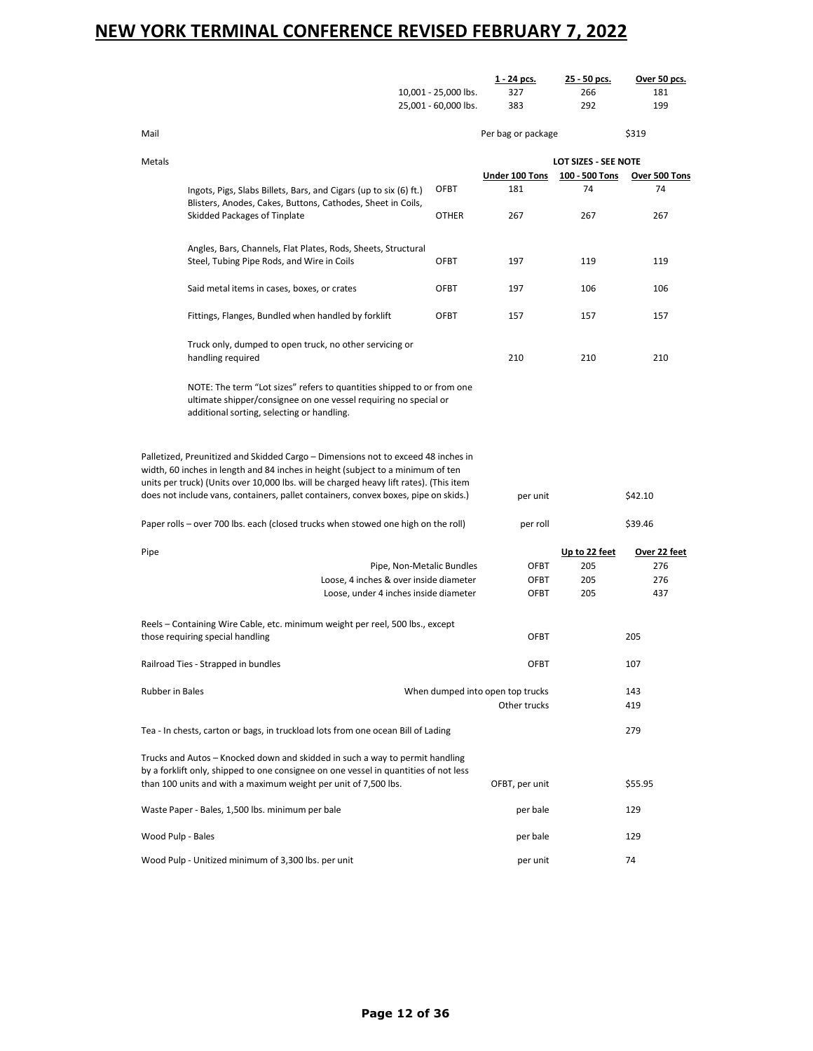|                   |                                                                                                                                                                                                                                                                    | 10,001 - 25,000 lbs.<br>25,001 - 60,000 lbs. | 1 - 24 pcs.<br>327<br>383        | 25 - 50 pcs.<br>266<br>292 | Over 50 pcs.<br>181<br>199 |
|-------------------|--------------------------------------------------------------------------------------------------------------------------------------------------------------------------------------------------------------------------------------------------------------------|----------------------------------------------|----------------------------------|----------------------------|----------------------------|
| Mail              |                                                                                                                                                                                                                                                                    |                                              |                                  |                            | \$319                      |
|                   |                                                                                                                                                                                                                                                                    |                                              | Per bag or package               |                            |                            |
| Metals            |                                                                                                                                                                                                                                                                    |                                              |                                  | LOT SIZES - SEE NOTE       |                            |
|                   |                                                                                                                                                                                                                                                                    |                                              | Under 100 Tons                   | 100 - 500 Tons             | Over 500 Tons              |
|                   | Ingots, Pigs, Slabs Billets, Bars, and Cigars (up to six (6) ft.)<br>Blisters, Anodes, Cakes, Buttons, Cathodes, Sheet in Coils,                                                                                                                                   | OFBT                                         | 181                              | 74                         | 74                         |
|                   | Skidded Packages of Tinplate                                                                                                                                                                                                                                       | <b>OTHER</b>                                 | 267                              | 267                        | 267                        |
|                   | Angles, Bars, Channels, Flat Plates, Rods, Sheets, Structural                                                                                                                                                                                                      |                                              |                                  |                            |                            |
|                   | Steel, Tubing Pipe Rods, and Wire in Coils                                                                                                                                                                                                                         | OFBT                                         | 197                              | 119                        | 119                        |
|                   | Said metal items in cases, boxes, or crates                                                                                                                                                                                                                        | OFBT                                         | 197                              | 106                        | 106                        |
|                   | Fittings, Flanges, Bundled when handled by forklift                                                                                                                                                                                                                | <b>OFBT</b>                                  | 157                              | 157                        | 157                        |
|                   | Truck only, dumped to open truck, no other servicing or<br>handling required                                                                                                                                                                                       |                                              | 210                              | 210                        | 210                        |
|                   |                                                                                                                                                                                                                                                                    |                                              |                                  |                            |                            |
|                   | NOTE: The term "Lot sizes" refers to quantities shipped to or from one<br>ultimate shipper/consignee on one vessel requiring no special or<br>additional sorting, selecting or handling.                                                                           |                                              |                                  |                            |                            |
|                   | units per truck) (Units over 10,000 lbs. will be charged heavy lift rates). (This item<br>does not include vans, containers, pallet containers, convex boxes, pipe on skids.)<br>Paper rolls - over 700 lbs. each (closed trucks when stowed one high on the roll) |                                              | per unit<br>per roll             |                            | \$42.10<br>\$39.46         |
|                   |                                                                                                                                                                                                                                                                    |                                              |                                  |                            |                            |
| Pipe              |                                                                                                                                                                                                                                                                    |                                              | OFBT                             | Up to 22 feet<br>205       | Over 22 feet<br>276        |
|                   | Loose, 4 inches & over inside diameter                                                                                                                                                                                                                             | Pipe, Non-Metalic Bundles                    | OFBT                             | 205                        | 276                        |
|                   | Loose, under 4 inches inside diameter                                                                                                                                                                                                                              |                                              | OFBT                             | 205                        | 437                        |
|                   | Reels – Containing Wire Cable, etc. minimum weight per reel, 500 lbs., except                                                                                                                                                                                      |                                              |                                  |                            |                            |
|                   | those requiring special handling                                                                                                                                                                                                                                   |                                              | OFBT                             |                            | 205                        |
|                   | Railroad Ties - Strapped in bundles                                                                                                                                                                                                                                |                                              | <b>OFBT</b>                      |                            | 107                        |
| Rubber in Bales   |                                                                                                                                                                                                                                                                    |                                              | When dumped into open top trucks |                            | 143                        |
|                   |                                                                                                                                                                                                                                                                    |                                              | Other trucks                     |                            | 419                        |
|                   | Tea - In chests, carton or bags, in truckload lots from one ocean Bill of Lading                                                                                                                                                                                   |                                              |                                  |                            | 279                        |
|                   | Trucks and Autos - Knocked down and skidded in such a way to permit handling<br>by a forklift only, shipped to one consignee on one vessel in quantities of not less                                                                                               |                                              |                                  |                            |                            |
|                   | than 100 units and with a maximum weight per unit of 7,500 lbs.                                                                                                                                                                                                    |                                              | OFBT, per unit                   |                            | \$55.95                    |
|                   | Waste Paper - Bales, 1,500 lbs. minimum per bale                                                                                                                                                                                                                   |                                              | per bale                         |                            | 129                        |
| Wood Pulp - Bales |                                                                                                                                                                                                                                                                    |                                              | per bale                         |                            | 129                        |
|                   | Wood Pulp - Unitized minimum of 3,300 lbs. per unit                                                                                                                                                                                                                |                                              | per unit                         |                            | 74                         |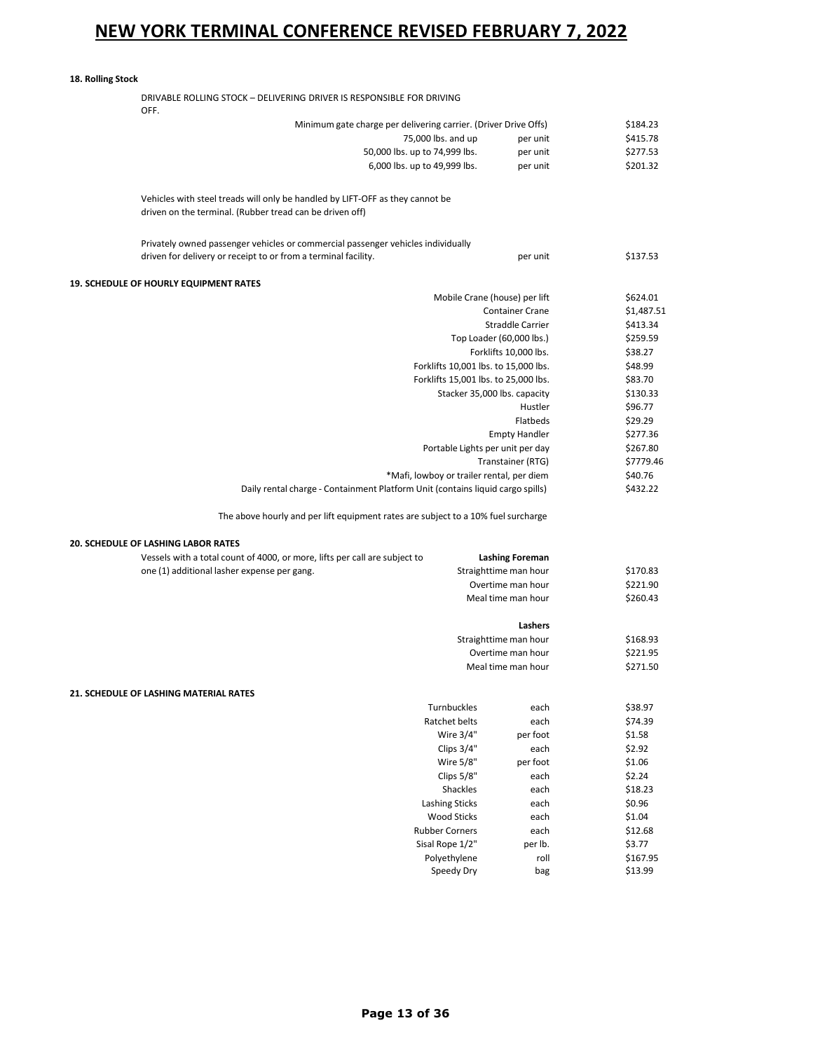**18. Rolling Stock**

| DRIVABLE ROLLING STOCK - DELIVERING DRIVER IS RESPONSIBLE FOR DRIVING<br>OFF.                                                             |                                                                                   |                                            |                      |
|-------------------------------------------------------------------------------------------------------------------------------------------|-----------------------------------------------------------------------------------|--------------------------------------------|----------------------|
|                                                                                                                                           | Minimum gate charge per delivering carrier. (Driver Drive Offs)                   |                                            | \$184.23             |
|                                                                                                                                           | 75,000 lbs. and up                                                                | per unit                                   | \$415.78             |
|                                                                                                                                           | 50,000 lbs. up to 74,999 lbs.                                                     | per unit                                   | \$277.53             |
|                                                                                                                                           | 6,000 lbs. up to 49,999 lbs.                                                      | per unit                                   | \$201.32             |
| Vehicles with steel treads will only be handled by LIFT-OFF as they cannot be<br>driven on the terminal. (Rubber tread can be driven off) |                                                                                   |                                            |                      |
| driven for delivery or receipt to or from a terminal facility.                                                                            | Privately owned passenger vehicles or commercial passenger vehicles individually  | per unit                                   | \$137.53             |
| <b>19. SCHEDULE OF HOURLY EQUIPMENT RATES</b>                                                                                             |                                                                                   |                                            |                      |
|                                                                                                                                           | Mobile Crane (house) per lift                                                     |                                            | \$624.01             |
|                                                                                                                                           |                                                                                   | <b>Container Crane</b>                     | \$1,487.51           |
|                                                                                                                                           |                                                                                   | Straddle Carrier                           | \$413.34             |
|                                                                                                                                           |                                                                                   | Top Loader (60,000 lbs.)                   | \$259.59             |
|                                                                                                                                           |                                                                                   | Forklifts 10,000 lbs.                      | \$38.27              |
|                                                                                                                                           | Forklifts 10,001 lbs. to 15,000 lbs.                                              |                                            | \$48.99              |
|                                                                                                                                           | Forklifts 15,001 lbs. to 25,000 lbs.                                              |                                            | \$83.70              |
|                                                                                                                                           |                                                                                   | Stacker 35,000 lbs. capacity               | \$130.33             |
|                                                                                                                                           |                                                                                   | Hustler                                    | \$96.77              |
|                                                                                                                                           |                                                                                   | Flatbeds<br><b>Empty Handler</b>           | \$29.29<br>\$277.36  |
|                                                                                                                                           | Portable Lights per unit per day                                                  |                                            | \$267.80             |
|                                                                                                                                           |                                                                                   | Transtainer (RTG)                          | \$7779.46            |
|                                                                                                                                           | *Mafi, lowboy or trailer rental, per diem                                         |                                            | \$40.76              |
|                                                                                                                                           | Daily rental charge - Containment Platform Unit (contains liquid cargo spills)    |                                            | \$432.22             |
|                                                                                                                                           | The above hourly and per lift equipment rates are subject to a 10% fuel surcharge |                                            |                      |
| <b>20. SCHEDULE OF LASHING LABOR RATES</b>                                                                                                |                                                                                   |                                            |                      |
| Vessels with a total count of 4000, or more, lifts per call are subject to                                                                |                                                                                   | <b>Lashing Foreman</b>                     |                      |
| one (1) additional lasher expense per gang.                                                                                               |                                                                                   | Straighttime man hour                      | \$170.83             |
|                                                                                                                                           |                                                                                   | Overtime man hour                          | \$221.90             |
|                                                                                                                                           |                                                                                   | Meal time man hour                         | \$260.43             |
|                                                                                                                                           |                                                                                   | Lashers                                    |                      |
|                                                                                                                                           |                                                                                   | Straighttime man hour<br>Overtime man hour | \$168.93<br>\$221.95 |
|                                                                                                                                           |                                                                                   | Meal time man hour                         | \$271.50             |
| 21. SCHEDULE OF LASHING MATERIAL RATES                                                                                                    |                                                                                   |                                            |                      |
|                                                                                                                                           | Turnbuckles                                                                       | each                                       | \$38.97              |
|                                                                                                                                           | Ratchet belts                                                                     | each                                       | \$74.39              |
|                                                                                                                                           | Wire 3/4"                                                                         | per foot                                   | \$1.58               |
|                                                                                                                                           | Clips 3/4"                                                                        | each                                       | \$2.92               |
|                                                                                                                                           | Wire 5/8"                                                                         | per foot                                   | \$1.06               |
|                                                                                                                                           | Clips 5/8"                                                                        | each                                       | \$2.24               |
|                                                                                                                                           | Shackles                                                                          | each                                       | \$18.23              |
|                                                                                                                                           | <b>Lashing Sticks</b>                                                             | each                                       | \$0.96               |
|                                                                                                                                           | <b>Wood Sticks</b>                                                                | each                                       | \$1.04               |
|                                                                                                                                           | <b>Rubber Corners</b>                                                             | each                                       | \$12.68              |
|                                                                                                                                           | Sisal Rope 1/2"                                                                   | per lb.                                    | \$3.77               |
|                                                                                                                                           | Polyethylene<br>Speedy Dry                                                        | roll<br>bag                                | \$167.95<br>\$13.99  |
|                                                                                                                                           |                                                                                   |                                            |                      |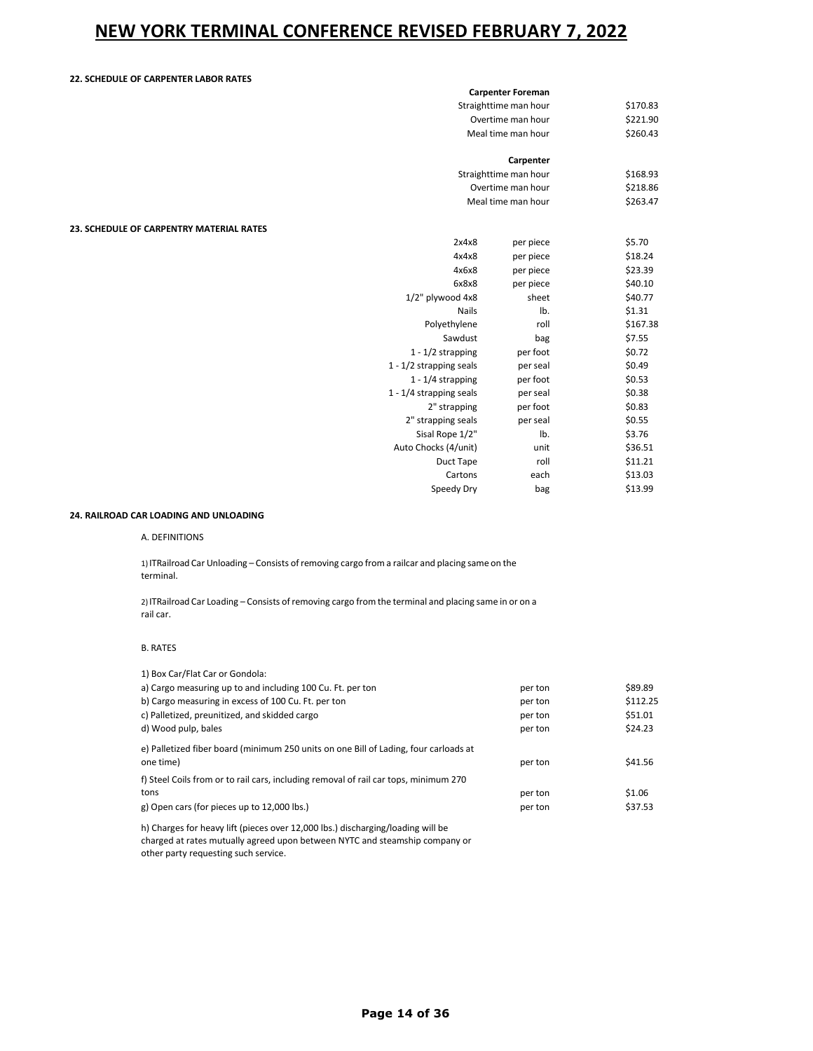### **22. SCHEDULE OF CARPENTER LABOR RATES**

|                                          | <b>Carpenter Foreman</b> |          |
|------------------------------------------|--------------------------|----------|
|                                          | Straighttime man hour    | \$170.83 |
|                                          | Overtime man hour        | \$221.90 |
|                                          | Meal time man hour       | \$260.43 |
|                                          | Carpenter                |          |
|                                          | Straighttime man hour    | \$168.93 |
|                                          | Overtime man hour        | \$218.86 |
|                                          | Meal time man hour       | \$263.47 |
| 23. SCHEDULE OF CARPENTRY MATERIAL RATES |                          |          |
| 2x4x8                                    | per piece                | \$5.70   |
| 4x4x8                                    | per piece                | \$18.24  |
| 4x6x8                                    | per piece                | \$23.39  |
| 6x8x8                                    | per piece                | \$40.10  |
| 1/2" plywood 4x8                         | sheet                    | \$40.77  |
| <b>Nails</b>                             | lb.                      | \$1.31   |
| Polyethylene                             | roll                     | \$167.38 |
| Sawdust                                  | bag                      | \$7.55   |
| $1 - 1/2$ strapping                      | per foot                 | \$0.72   |
| $1 - 1/2$ strapping seals                | per seal                 | \$0.49   |
| $1 - 1/4$ strapping                      | per foot                 | \$0.53   |
| $1 - 1/4$ strapping seals                | per seal                 | \$0.38   |
| 2" strapping                             | per foot                 | \$0.83   |
| 2" strapping seals                       | per seal                 | \$0.55   |
| Sisal Rope 1/2"                          | lb.                      | \$3.76   |
| Auto Chocks (4/unit)                     | unit                     | \$36.51  |
| Duct Tape                                | roll                     | \$11.21  |
| Cartons                                  | each                     | \$13.03  |
| Speedy Dry                               | bag                      | \$13.99  |

### **24. RAILROAD CAR LOADING AND UNLOADING**

#### A. DEFINITIONS

1) ITRailroad Car Unloading – Consists ofremoving cargo from a railcar and placing same on the terminal.

2) ITRailroad Car Loading - Consists of removing cargo from the terminal and placing same in or on a rail car.

#### B. RATES

| 1) Box Car/Flat Car or Gondola:                                                                   |         |          |
|---------------------------------------------------------------------------------------------------|---------|----------|
| a) Cargo measuring up to and including 100 Cu. Ft. per ton                                        | per ton | \$89.89  |
| b) Cargo measuring in excess of 100 Cu. Ft. per ton                                               | per ton | \$112.25 |
| c) Palletized, preunitized, and skidded cargo                                                     | per ton | \$51.01  |
| d) Wood pulp, bales                                                                               | per ton | \$24.23  |
| e) Palletized fiber board (minimum 250 units on one Bill of Lading, four carloads at<br>one time) | per ton | \$41.56  |
|                                                                                                   |         |          |
| f) Steel Coils from or to rail cars, including removal of rail car tops, minimum 270              |         |          |
| tons                                                                                              | per ton | \$1.06   |
| g) Open cars (for pieces up to 12,000 lbs.)                                                       | per ton | \$37.53  |
|                                                                                                   |         |          |

h) Charges for heavy lift (pieces over 12,000 lbs.) discharging/loading will be charged at rates mutually agreed upon between NYTC and steamship company or other party requesting such service.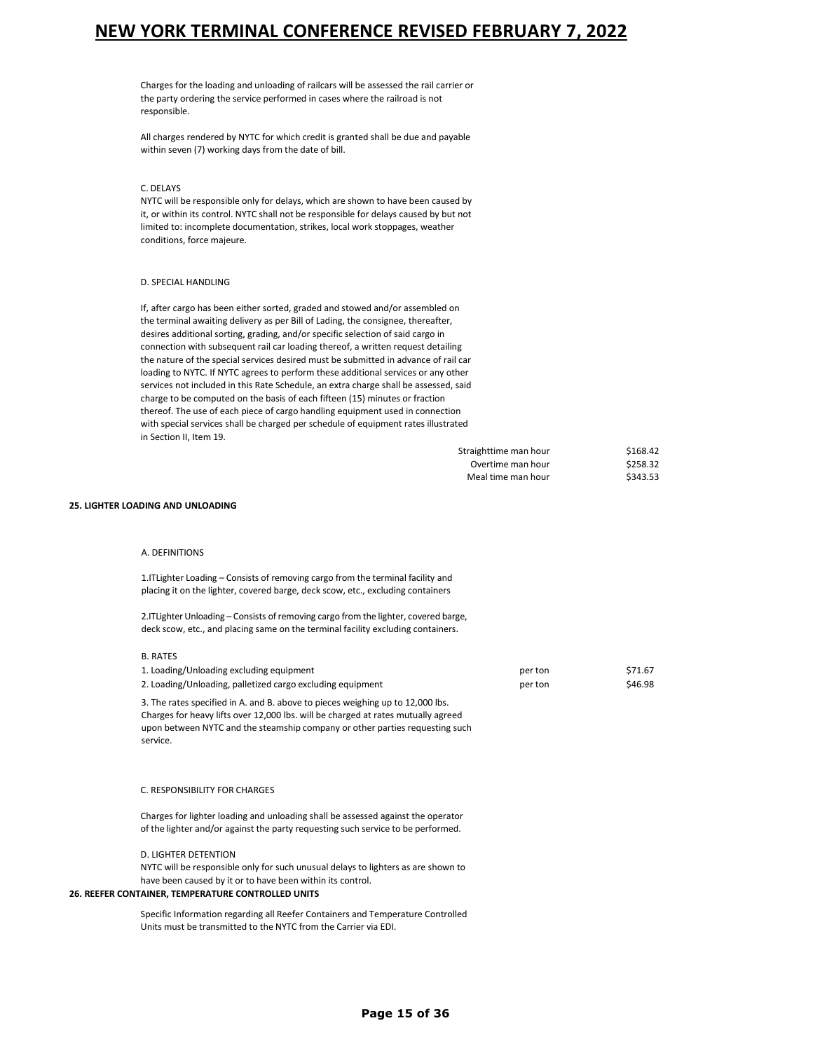Charges for the loading and unloading of railcars will be assessed the rail carrier or the party ordering the service performed in cases where the railroad is not responsible.

All charges rendered by NYTC for which credit is granted shall be due and payable within seven (7) working days from the date of bill.

#### C. DELAYS

NYTC will be responsible only for delays, which are shown to have been caused by it, or within its control. NYTC shall not be responsible for delays caused by but not limited to: incomplete documentation, strikes, local work stoppages, weather conditions, force majeure.

#### D. SPECIAL HANDLING

If, after cargo has been either sorted, graded and stowed and/or assembled on the terminal awaiting delivery as per Bill of Lading, the consignee, thereafter, desires additional sorting, grading, and/or specific selection of said cargo in connection with subsequent rail car loading thereof, a written request detailing the nature of the special services desired must be submitted in advance of rail car loading to NYTC. If NYTC agrees to perform these additional services or any other services not included in this Rate Schedule, an extra charge shall be assessed, said charge to be computed on the basis of each fifteen (15) minutes or fraction thereof. The use of each piece of cargo handling equipment used in connection with special services shall be charged per schedule of equipment rates illustrated in Section II, Item 19.

| Straighttime man hour | \$168.42 |
|-----------------------|----------|
| Overtime man hour     | \$258.32 |
| Meal time man hour    | \$343.53 |

#### **25. LIGHTER LOADING AND UNLOADING**

#### A. DEFINITIONS

1.ITLighter Loading – Consists of removing cargo from the terminal facility and placing it on the lighter, covered barge, deck scow, etc., excluding containers

2. ITLighter Unloading – Consists of removing cargo from the lighter, covered barge, deck scow, etc., and placing same on the terminal facility excluding containers.

### B. RATES

| 1. Loading/Unloading excluding equipment                                          | per ton | \$71.67 |
|-----------------------------------------------------------------------------------|---------|---------|
| 2. Loading/Unloading, palletized cargo excluding equipment                        | per ton | \$46.98 |
| 3. The rates specified in A. and B. above to pieces weighing up to 12,000 lbs.    |         |         |
| Charges for heavy lifts over 12,000 lbs, will be charged at rates mutually agreed |         |         |

es for heavy lifts over 12,000 lbs. will be charged at rates mutually a upon between NYTC and the steamship company or other parties requesting such service.

#### C. RESPONSIBILITY FOR CHARGES

Charges for lighter loading and unloading shall be assessed against the operator of the lighter and/or against the party requesting such service to be performed.

#### D. LIGHTER DETENTION

NYTC will be responsible only for such unusual delays to lighters as are shown to have been caused by it or to have been within its control.

#### **26. REEFER CONTAINER, TEMPERATURE CONTROLLED UNITS**

Specific Information regarding all Reefer Containers and Temperature Controlled Units must be transmitted to the NYTC from the Carrier via EDI.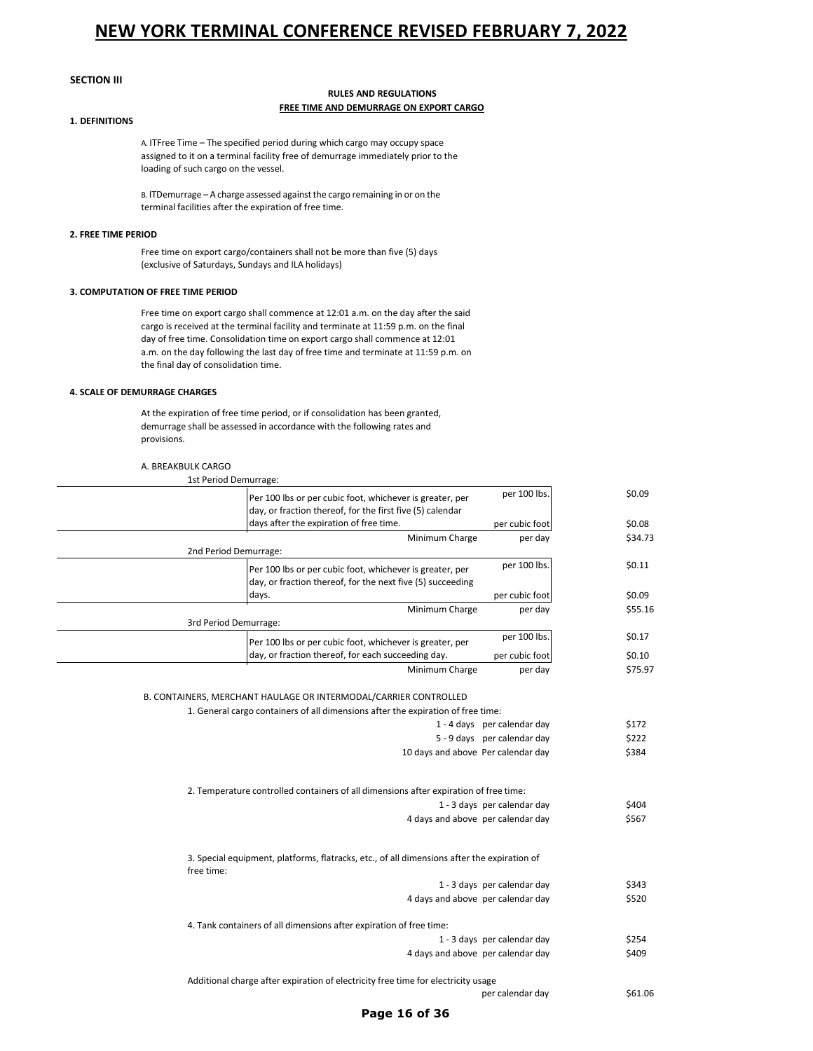### **SECTION III**

### **RULES AND REGULATIONS FREE TIME AND DEMURRAGE ON EXPORT CARGO**

### **1. DEFINITIONS**

A. ITFree Time – The specified period during which cargo may occupy space assigned to it on a terminal facility free of demurrage immediately prior to the loading of such cargo on the vessel.

B. ITDemurrage - A charge assessed against the cargo remaining in or on the terminal facilities after the expiration of free time.

#### **2. FREE TIME PERIOD**

Free time on export cargo/containers shall not be more than five (5) days (exclusive of Saturdays, Sundays and ILA holidays)

### **3. COMPUTATION OF FREE TIME PERIOD**

Free time on export cargo shall commence at 12:01 a.m. on the day after the said cargo is received at the terminal facility and terminate at 11:59 p.m. on the final day of free time. Consolidation time on export cargo shall commence at 12:01 a.m. on the day following the last day of free time and terminate at 11:59 p.m. on the final day of consolidation time.

### **4. SCALE OF DEMURRAGE CHARGES**

At the expiration of free time period, or if consolidation has been granted, demurrage shall be assessed in accordance with the following rates and provisions.

A. BREAKBULK CARGO

| 1st Period Demurrage: |                                                                                                                        |                             |                |
|-----------------------|------------------------------------------------------------------------------------------------------------------------|-----------------------------|----------------|
|                       | Per 100 lbs or per cubic foot, whichever is greater, per<br>day, or fraction thereof, for the first five (5) calendar  | per 100 lbs.                | \$0.09         |
|                       | days after the expiration of free time.                                                                                | per cubic foot              | \$0.08         |
|                       | Minimum Charge                                                                                                         | per day                     | \$34.73        |
| 2nd Period Demurrage: |                                                                                                                        |                             |                |
|                       | Per 100 lbs or per cubic foot, whichever is greater, per<br>day, or fraction thereof, for the next five (5) succeeding | per 100 lbs.                | \$0.11         |
|                       | days.                                                                                                                  | per cubic foot              | \$0.09         |
|                       | Minimum Charge                                                                                                         | per day                     | \$55.16        |
| 3rd Period Demurrage: |                                                                                                                        |                             |                |
|                       | Per 100 lbs or per cubic foot, whichever is greater, per                                                               | per 100 lbs.                | \$0.17         |
|                       | day, or fraction thereof, for each succeeding day.                                                                     | per cubic foot              | \$0.10         |
|                       | Minimum Charge                                                                                                         | per day                     | \$75.97        |
|                       | 10 days and above Per calendar day                                                                                     | 5 - 9 days per calendar day | \$222<br>\$384 |
|                       | 2. Temperature controlled containers of all dimensions after expiration of free time:                                  |                             |                |
|                       |                                                                                                                        | 1 - 3 days per calendar day | \$404          |
|                       | 4 days and above per calendar day                                                                                      |                             | \$567          |
| free time:            | 3. Special equipment, platforms, flatracks, etc., of all dimensions after the expiration of                            |                             |                |
|                       |                                                                                                                        | 1 - 3 days per calendar day | \$343          |
|                       | 4 days and above per calendar day                                                                                      |                             | \$520          |
|                       | 4. Tank containers of all dimensions after expiration of free time:                                                    |                             |                |
|                       |                                                                                                                        | 1 - 3 days per calendar day | \$254          |
|                       | 4 days and above per calendar day                                                                                      |                             | \$409          |
|                       | Additional charge after expiration of electricity free time for electricity usage                                      |                             |                |
|                       |                                                                                                                        | per calendar day            | \$61.06        |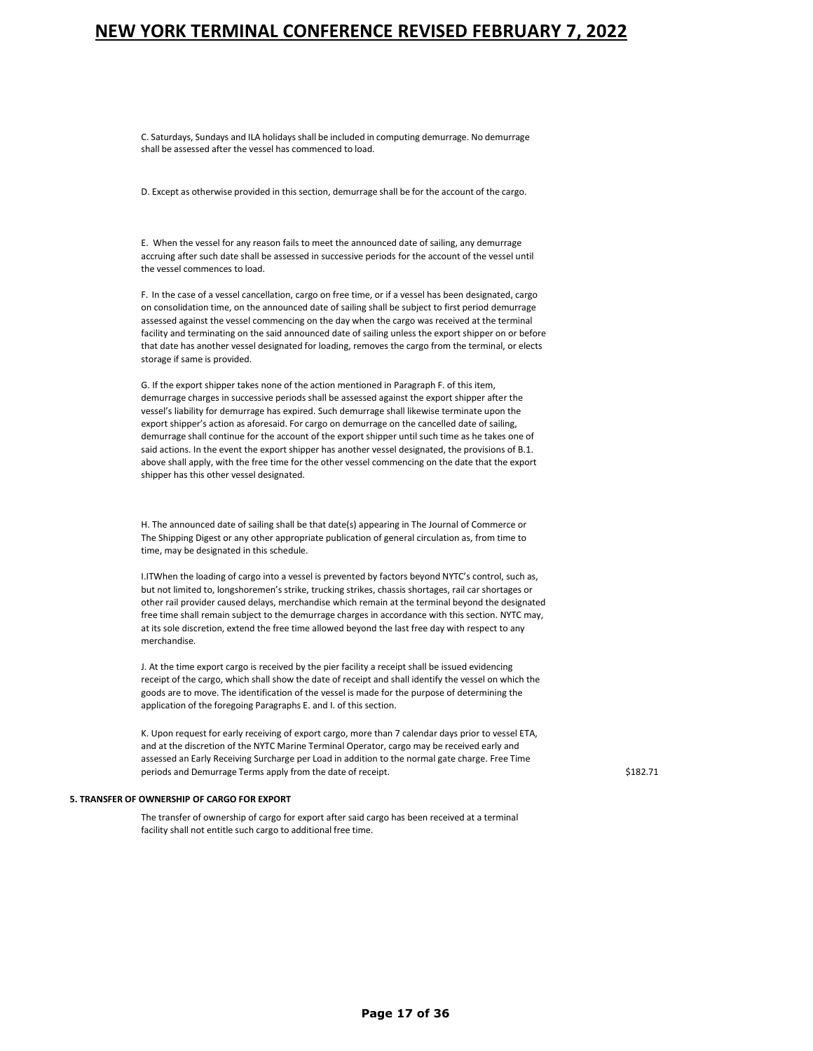C. Saturdays, Sundays and ILA holidays shall be included in computing demurrage. No demurrage shall be assessed after the vessel has commenced to load.

D. Except as otherwise provided in this section, demurrage shall be for the account of the cargo.

E. When the vessel for any reason fails to meet the announced date of sailing, any demurrage accruing after such date shall be assessed in successive periods for the account of the vessel until the vessel commences to load.

F. In the case of a vessel cancellation, cargo on free time, or if a vessel has been designated, cargo on consolidation time, on the announced date of sailing shall be subject to first period demurrage assessed against the vessel commencing on the day when the cargo was received at the terminal facility and terminating on the said announced date of sailing unless the export shipper on or before that date has another vessel designated for loading, removes the cargo from the terminal, or elects storage if same is provided.

G. If the export shipper takes none of the action mentioned in Paragraph F. of this item, demurrage charges in successive periods shall be assessed against the export shipper after the vessel's liability for demurrage has expired. Such demurrage shall likewise terminate upon the export shipper's action as aforesaid. For cargo on demurrage on the cancelled date of sailing, demurrage shall continue for the account of the export shipper until such time as he takes one of said actions. In the event the export shipper has another vessel designated, the provisions of B.1. above shall apply, with the free time for the other vessel commencing on the date that the export shipper has this other vessel designated.

H. The announced date of sailing shall be that date(s) appearing in The Journal of Commerce or The Shipping Digest or any other appropriate publication of general circulation as, from time to time, may be designated in this schedule.

I.ITWhen the loading of cargo into a vessel is prevented by factors beyond NYTC's control, such as, but not limited to, longshoremen's strike, trucking strikes, chassis shortages, rail car shortages or other rail provider caused delays, merchandise which remain at the terminal beyond the designated free time shall remain subject to the demurrage charges in accordance with this section. NYTC may, at its sole discretion, extend the free time allowed beyond the last free day with respect to any merchandise.

J. At the time export cargo is received by the pier facility a receipt shall be issued evidencing receipt of the cargo, which shall show the date of receipt and shall identify the vessel on which the goods are to move. The identification of the vessel is made for the purpose of determining the application of the foregoing Paragraphs E. and I. of this section.

K. Upon request for early receiving of export cargo, more than 7 calendar days prior to vessel ETA, and at the discretion of the NYTC Marine Terminal Operator, cargo may be received early and assessed an Early Receiving Surcharge per Load in addition to the normal gate charge. Free Time periods and Demurrage Terms apply from the date of receipt. **\$182.71** \$182.71

#### **5. TRANSFER OF OWNERSHIP OF CARGO FOR EXPORT**

The transfer of ownership of cargo for export after said cargo has been received at a terminal facility shall not entitle such cargo to additional free time.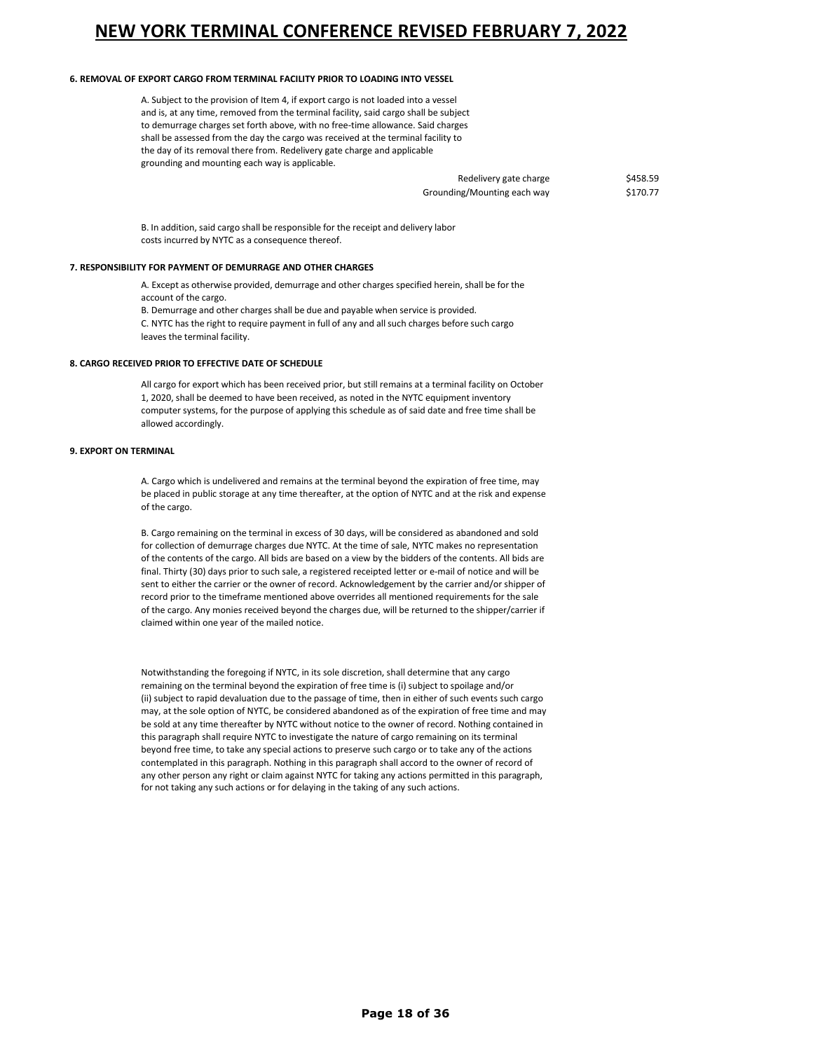#### **6. REMOVAL OF EXPORT CARGO FROM TERMINAL FACILITY PRIOR TO LOADING INTO VESSEL**

A. Subject to the provision of Item 4, if export cargo is not loaded into a vessel and is, at any time, removed from the terminal facility, said cargo shall be subject to demurrage charges set forth above, with no free-time allowance. Said charges shall be assessed from the day the cargo was received at the terminal facility to the day of its removal there from. Redelivery gate charge and applicable grounding and mounting each way is applicable.

> Redelivery gate charge \$458.59 Grounding/Mounting each way \$170.77

B. In addition, said cargo shall be responsible for the receipt and delivery labor costs incurred by NYTC as a consequence thereof.

#### **7. RESPONSIBILITY FOR PAYMENT OF DEMURRAGE AND OTHER CHARGES**

A. Except as otherwise provided, demurrage and other charges specified herein, shall be for the account of the cargo.

B. Demurrage and other charges shall be due and payable when service is provided.

C. NYTC has the right to require payment in full of any and all such charges before such cargo leaves the terminal facility.

#### **8. CARGO RECEIVED PRIOR TO EFFECTIVE DATE OF SCHEDULE**

All cargo for export which has been received prior, but still remains at a terminal facility on October 1, 2020, shall be deemed to have been received, as noted in the NYTC equipment inventory computer systems, for the purpose of applying this schedule as of said date and free time shall be allowed accordingly.

### **9. EXPORT ON TERMINAL**

A. Cargo which is undelivered and remains at the terminal beyond the expiration of free time, may be placed in public storage at any time thereafter, at the option of NYTC and at the risk and expense of the cargo.

B. Cargo remaining on the terminal in excess of 30 days, will be considered as abandoned and sold for collection of demurrage charges due NYTC. At the time of sale, NYTC makes no representation of the contents of the cargo. All bids are based on a view by the bidders of the contents. All bids are final. Thirty (30) days prior to such sale, a registered receipted letter or e-mail of notice and will be sent to either the carrier or the owner of record. Acknowledgement by the carrier and/or shipper of record prior to the timeframe mentioned above overrides all mentioned requirements for the sale of the cargo. Any monies received beyond the charges due, will be returned to the shipper/carrier if claimed within one year of the mailed notice.

Notwithstanding the foregoing if NYTC, in its sole discretion, shall determine that any cargo remaining on the terminal beyond the expiration of free time is (i) subject to spoilage and/or (ii) subject to rapid devaluation due to the passage of time, then in either of such events such cargo may, at the sole option of NYTC, be considered abandoned as of the expiration of free time and may be sold at any time thereafter by NYTC without notice to the owner of record. Nothing contained in this paragraph shall require NYTC to investigate the nature of cargo remaining on its terminal beyond free time, to take any special actions to preserve such cargo or to take any of the actions contemplated in this paragraph. Nothing in this paragraph shall accord to the owner of record of any other person any right or claim against NYTC for taking any actions permitted in this paragraph, for not taking any such actions or for delaying in the taking of any such actions.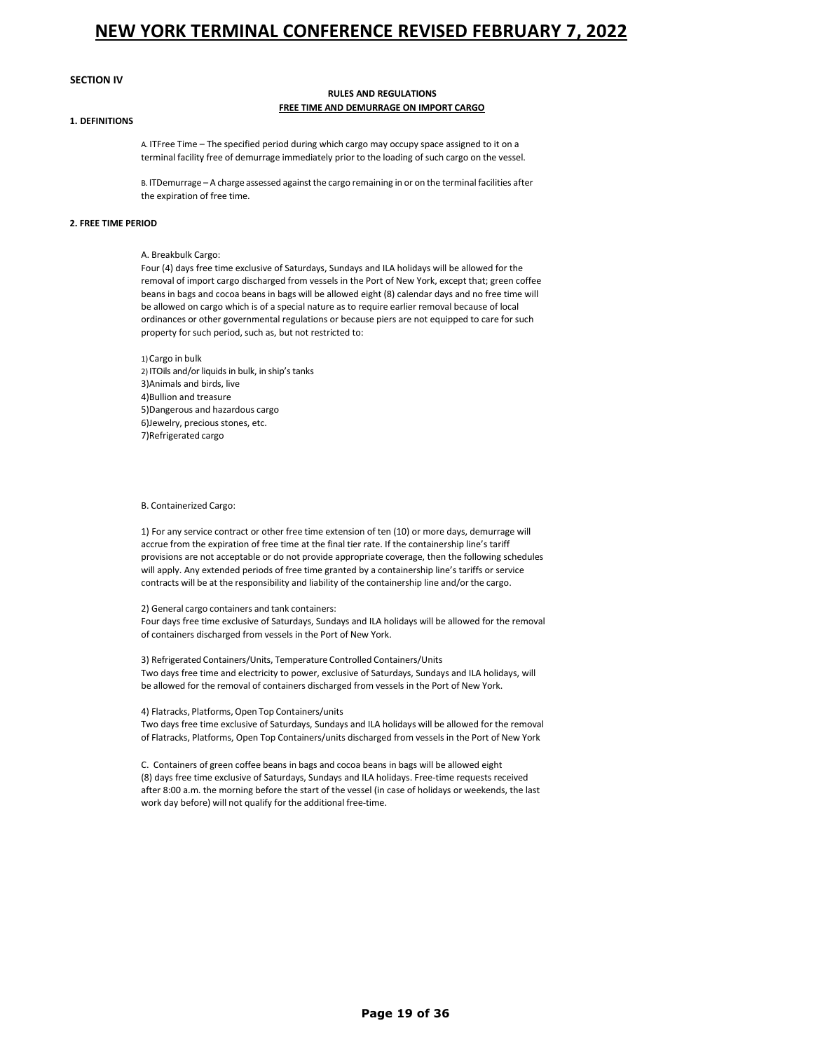### **SECTION IV**

#### **RULES AND REGULATIONS FREE TIME AND DEMURRAGE ON IMPORT CARGO**

### **1. DEFINITIONS**

A. ITFree Time – The specified period during which cargo may occupy space assigned to it on a terminal facility free of demurrage immediately prior to the loading of such cargo on the vessel.

B. ITDemurrage – A charge assessed against the cargo remaining in or on the terminal facilities after the expiration of free time.

#### **2. FREE TIME PERIOD**

### A. Breakbulk Cargo:

Four (4) days free time exclusive of Saturdays, Sundays and ILA holidays will be allowed for the removal of import cargo discharged from vessels in the Port of New York, except that; green coffee beans in bags and cocoa beans in bags will be allowed eight (8) calendar days and no free time will be allowed on cargo which is of a special nature as to require earlier removal because of local ordinances or other governmental regulations or because piers are not equipped to care for such property for such period, such as, but not restricted to:

1)Cargo in bulk 2) ITOils and/or liquids in bulk, in ship's tanks 3)Animals and birds, live 4)Bullion and treasure 5)Dangerous and hazardous cargo 6)Jewelry, precious stones, etc. 7)Refrigerated cargo

#### B. Containerized Cargo:

1) For any service contract or other free time extension of ten (10) or more days, demurrage will accrue from the expiration of free time at the final tier rate. If the containership line's tariff provisions are not acceptable or do not provide appropriate coverage, then the following schedules will apply. Any extended periods of free time granted by a containership line's tariffs or service contracts will be at the responsibility and liability of the containership line and/or the cargo.

#### 2) General cargo containers and tank containers:

Four days free time exclusive of Saturdays, Sundays and ILA holidays will be allowed for the removal of containers discharged from vessels in the Port of New York.

3) Refrigerated Containers/Units, Temperature Controlled Containers/Units Two days free time and electricity to power, exclusive of Saturdays, Sundays and ILA holidays, will be allowed for the removal of containers discharged from vessels in the Port of New York.

#### 4) Flatracks, Platforms, Open Top Containers/units

Two days free time exclusive of Saturdays, Sundays and ILA holidays will be allowed for the removal of Flatracks, Platforms, Open Top Containers/units discharged from vessels in the Port of New York

C. Containers of green coffee beans in bags and cocoa beans in bags will be allowed eight (8) days free time exclusive of Saturdays, Sundays and ILA holidays. Free-time requests received after 8:00 a.m. the morning before the start of the vessel (in case of holidays or weekends, the last work day before) will not qualify for the additional free-time.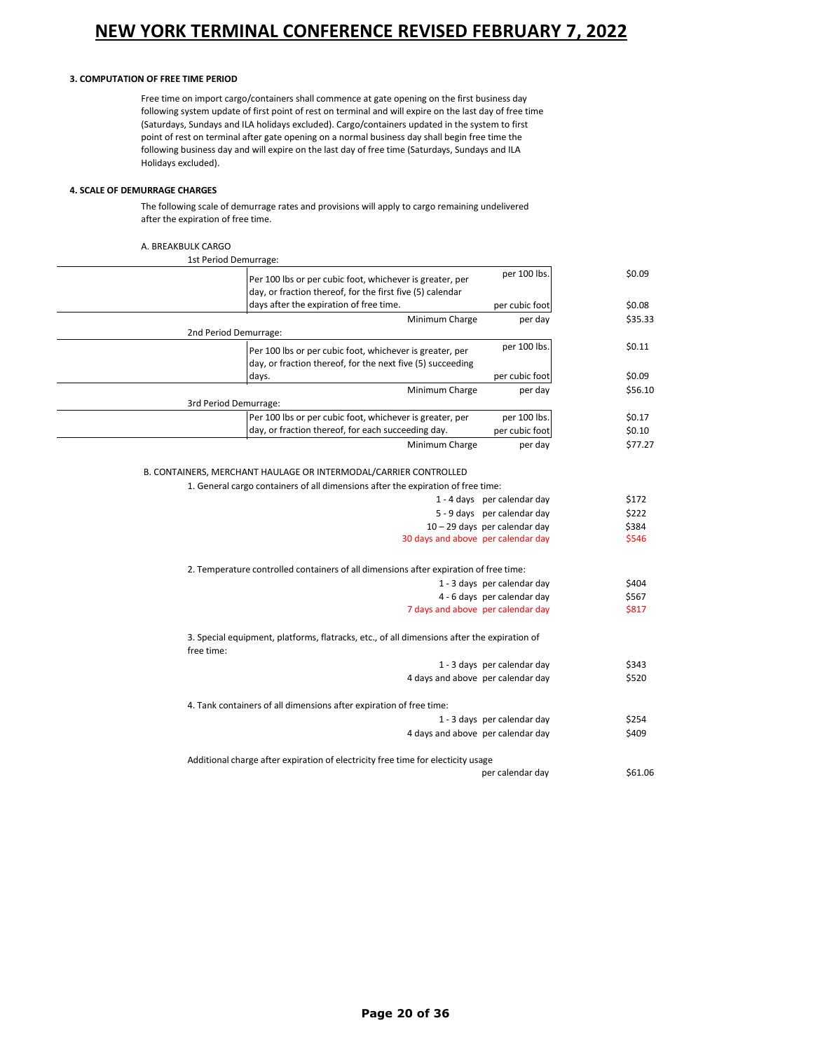### **3. COMPUTATION OF FREE TIME PERIOD**

Free time on import cargo/containers shall commence at gate opening on the first business day following system update of first point of rest on terminal and will expire on the last day of free time (Saturdays, Sundays and ILA holidays excluded). Cargo/containers updated in the system to first point of rest on terminal after gate opening on a normal business day shall begin free time the following business day and will expire on the last day of free time (Saturdays, Sundays and ILA Holidays excluded).

### **4. SCALE OF DEMURRAGE CHARGES**

The following scale of demurrage rates and provisions will apply to cargo remaining undelivered after the expiration of free time.

#### A. BREAKBULK CARGO

| 1st Period Demurrage:                                                                                     |                                 |         |
|-----------------------------------------------------------------------------------------------------------|---------------------------------|---------|
| Per 100 lbs or per cubic foot, whichever is greater, per                                                  | per 100 lbs.                    | \$0.09  |
| day, or fraction thereof, for the first five (5) calendar<br>days after the expiration of free time.      | per cubic foot                  | \$0.08  |
| Minimum Charge                                                                                            | per day                         | \$35.33 |
| 2nd Period Demurrage:                                                                                     |                                 |         |
| Per 100 lbs or per cubic foot, whichever is greater, per                                                  | per 100 lbs.                    | \$0.11  |
| day, or fraction thereof, for the next five (5) succeeding                                                |                                 |         |
| days.                                                                                                     | per cubic foot                  | \$0.09  |
| Minimum Charge                                                                                            | per day                         | \$56.10 |
| 3rd Period Demurrage:                                                                                     |                                 |         |
| Per 100 lbs or per cubic foot, whichever is greater, per                                                  | per 100 lbs.                    | \$0.17  |
| day, or fraction thereof, for each succeeding day.                                                        | per cubic foot                  | \$0.10  |
| Minimum Charge                                                                                            | per day                         | \$77.27 |
|                                                                                                           |                                 |         |
| B. CONTAINERS, MERCHANT HAULAGE OR INTERMODAL/CARRIER CONTROLLED                                          |                                 |         |
| 1. General cargo containers of all dimensions after the expiration of free time:                          |                                 |         |
|                                                                                                           | 1 - 4 days per calendar day     | \$172   |
|                                                                                                           | 5 - 9 days per calendar day     | \$222   |
|                                                                                                           | $10 - 29$ days per calendar day | \$384   |
| 30 days and above per calendar day                                                                        |                                 | \$546   |
| 2. Temperature controlled containers of all dimensions after expiration of free time:                     |                                 |         |
|                                                                                                           | 1 - 3 days per calendar day     | \$404   |
|                                                                                                           | 4 - 6 days per calendar day     | \$567   |
| 7 days and above per calendar day                                                                         |                                 | \$817   |
| 3. Special equipment, platforms, flatracks, etc., of all dimensions after the expiration of<br>free time: |                                 |         |
|                                                                                                           | 1 - 3 days per calendar day     | \$343   |
| 4 days and above per calendar day                                                                         |                                 | \$520   |
| 4. Tank containers of all dimensions after expiration of free time:                                       |                                 |         |
|                                                                                                           | 1 - 3 days per calendar day     | \$254   |
| 4 days and above per calendar day                                                                         |                                 | \$409   |
|                                                                                                           |                                 |         |
| Additional charge after expiration of electricity free time for electicity usage                          |                                 |         |
|                                                                                                           | per calendar day                | \$61.06 |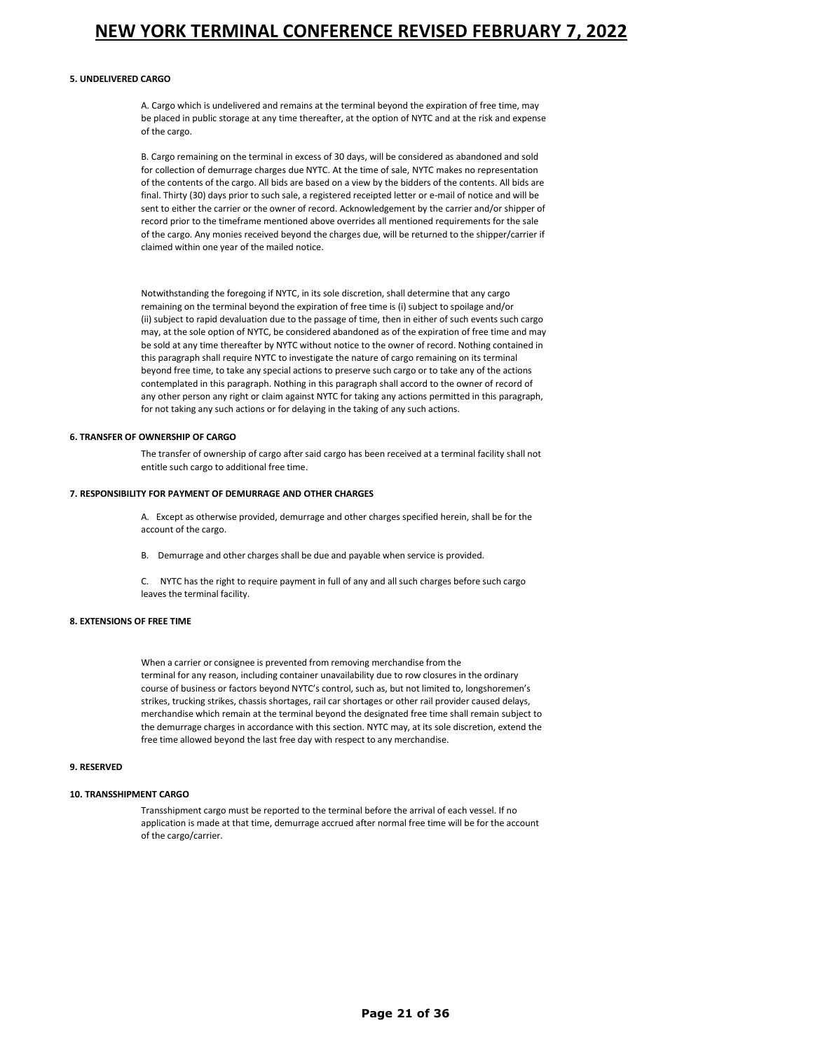#### **5. UNDELIVERED CARGO**

A. Cargo which is undelivered and remains at the terminal beyond the expiration of free time, may be placed in public storage at any time thereafter, at the option of NYTC and at the risk and expense of the cargo.

B. Cargo remaining on the terminal in excess of 30 days, will be considered as abandoned and sold for collection of demurrage charges due NYTC. At the time of sale, NYTC makes no representation of the contents of the cargo. All bids are based on a view by the bidders of the contents. All bids are final. Thirty (30) days prior to such sale, a registered receipted letter or e-mail of notice and will be sent to either the carrier or the owner of record. Acknowledgement by the carrier and/or shipper of record prior to the timeframe mentioned above overrides all mentioned requirements for the sale of the cargo. Any monies received beyond the charges due, will be returned to the shipper/carrier if claimed within one year of the mailed notice.

Notwithstanding the foregoing if NYTC, in its sole discretion, shall determine that any cargo remaining on the terminal beyond the expiration of free time is (i) subject to spoilage and/or (ii) subject to rapid devaluation due to the passage of time, then in either of such events such cargo may, at the sole option of NYTC, be considered abandoned as of the expiration of free time and may be sold at any time thereafter by NYTC without notice to the owner of record. Nothing contained in this paragraph shall require NYTC to investigate the nature of cargo remaining on its terminal beyond free time, to take any special actions to preserve such cargo or to take any of the actions contemplated in this paragraph. Nothing in this paragraph shall accord to the owner of record of any other person any right or claim against NYTC for taking any actions permitted in this paragraph, for not taking any such actions or for delaying in the taking of any such actions.

#### **6. TRANSFER OF OWNERSHIP OF CARGO**

The transfer of ownership of cargo after said cargo has been received at a terminal facility shall not entitle such cargo to additional free time.

#### **7. RESPONSIBILITY FOR PAYMENT OF DEMURRAGE AND OTHER CHARGES**

A. Except as otherwise provided, demurrage and other charges specified herein, shall be for the account of the cargo.

B. Demurrage and other charges shall be due and payable when service is provided.

C. NYTC has the right to require payment in full of any and all such charges before such cargo leaves the terminal facility.

### **8. EXTENSIONS OF FREE TIME**

When a carrier or consignee is prevented from removing merchandise from the terminal for any reason, including container unavailability due to row closures in the ordinary course of business or factors beyond NYTC's control, such as, but not limited to, longshoremen's strikes, trucking strikes, chassis shortages, rail car shortages or other rail provider caused delays, merchandise which remain at the terminal beyond the designated free time shall remain subject to the demurrage charges in accordance with this section. NYTC may, at its sole discretion, extend the free time allowed beyond the last free day with respect to any merchandise.

#### **9. RESERVED**

#### **10. TRANSSHIPMENT CARGO**

Transshipment cargo must be reported to the terminal before the arrival of each vessel. If no application is made at that time, demurrage accrued after normal free time will be for the account of the cargo/carrier.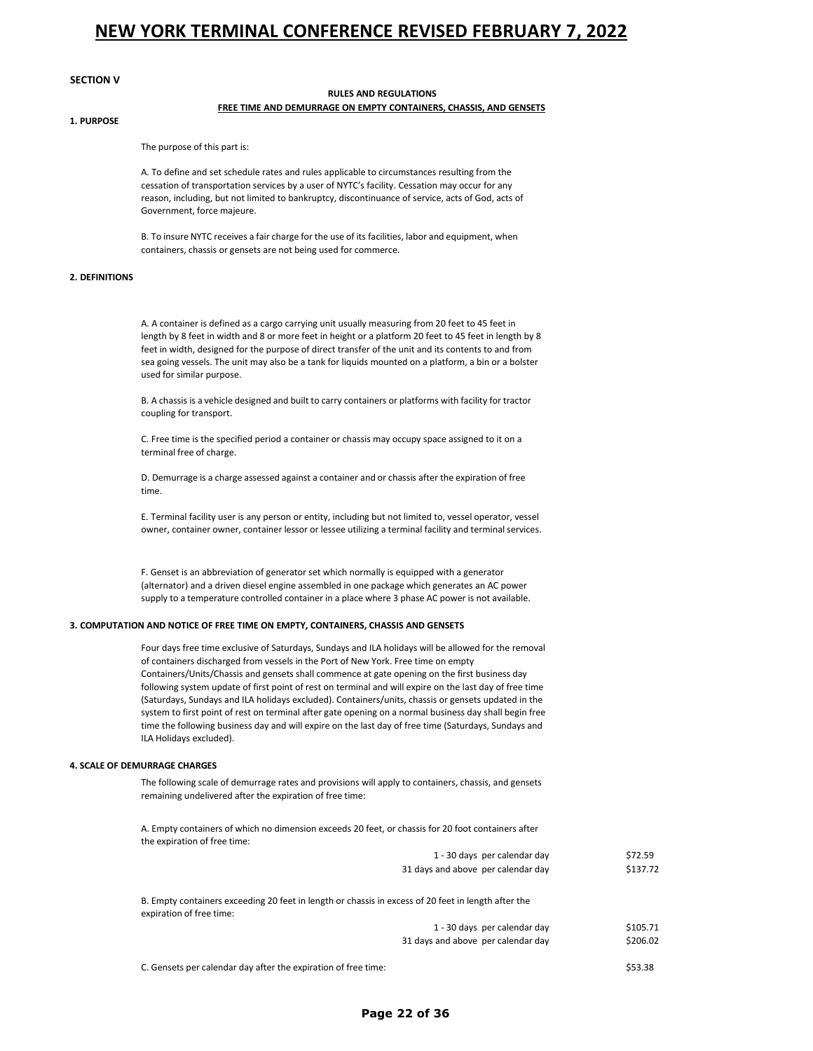#### **SECTION V**

### **RULES AND REGULATIONS FREE TIME AND DEMURRAGE ON EMPTY CONTAINERS, CHASSIS, AND GENSETS**

### **1. PURPOSE**

The purpose of this part is:

A. To define and set schedule rates and rules applicable to circumstances resulting from the cessation of transportation services by a user of NYTC's facility. Cessation may occur for any reason, including, but not limited to bankruptcy, discontinuance of service, acts of God, acts of Government, force majeure.

B. To insure NYTC receives a fair charge for the use of its facilities, labor and equipment, when containers, chassis or gensets are not being used for commerce.

#### **2. DEFINITIONS**

A. A container is defined as a cargo carrying unit usually measuring from 20 feet to 45 feet in length by 8 feet in width and 8 or more feet in height or a platform 20 feet to 45 feet in length by 8 feet in width, designed for the purpose of direct transfer of the unit and its contents to and from sea going vessels. The unit may also be a tank for liquids mounted on a platform, a bin or a bolster used for similar purpose.

B. A chassis is a vehicle designed and built to carry containers or platforms with facility for tractor coupling for transport.

C. Free time is the specified period a container or chassis may occupy space assigned to it on a terminal free of charge.

D. Demurrage is a charge assessed against a container and or chassis after the expiration of free time.

E. Terminal facility user is any person or entity, including but not limited to, vessel operator, vessel owner, container owner, container lessor or lessee utilizing a terminal facility and terminalservices.

F. Genset is an abbreviation of generator set which normally is equipped with a generator (alternator) and a driven diesel engine assembled in one package which generates an AC power supply to a temperature controlled container in a place where 3 phase AC power is not available.

#### **3. COMPUTATION AND NOTICE OF FREE TIME ON EMPTY, CONTAINERS, CHASSIS AND GENSETS**

Four days free time exclusive of Saturdays, Sundays and ILA holidays will be allowed for the removal of containers discharged from vessels in the Port of New York. Free time on empty Containers/Units/Chassis and gensets shall commence at gate opening on the first business day following system update of first point of rest on terminal and will expire on the last day of free time (Saturdays, Sundays and ILA holidays excluded). Containers/units, chassis or gensets updated in the system to first point of rest on terminal after gate opening on a normal business day shall begin free time the following business day and will expire on the last day of free time (Saturdays, Sundays and ILA Holidays excluded).

#### **4. SCALE OF DEMURRAGE CHARGES**

The following scale of demurrage rates and provisions will apply to containers, chassis, and gensets remaining undelivered after the expiration of free time:

A. Empty containers of which no dimension exceeds 20 feet, or chassis for 20 foot containers after the expiration of free time:

|                          | 1 - 30 days per calendar day                                                                        | \$72.59  |
|--------------------------|-----------------------------------------------------------------------------------------------------|----------|
|                          | 31 days and above per calendar day                                                                  | \$137.72 |
| expiration of free time: | B. Empty containers exceeding 20 feet in length or chassis in excess of 20 feet in length after the |          |
|                          | 1 - 30 days per calendar day                                                                        | \$105.71 |
|                          | 31 days and above per calendar day                                                                  | \$206.02 |
|                          |                                                                                                     |          |

C. Gensets per calendar day after the expiration of free time: \$53.38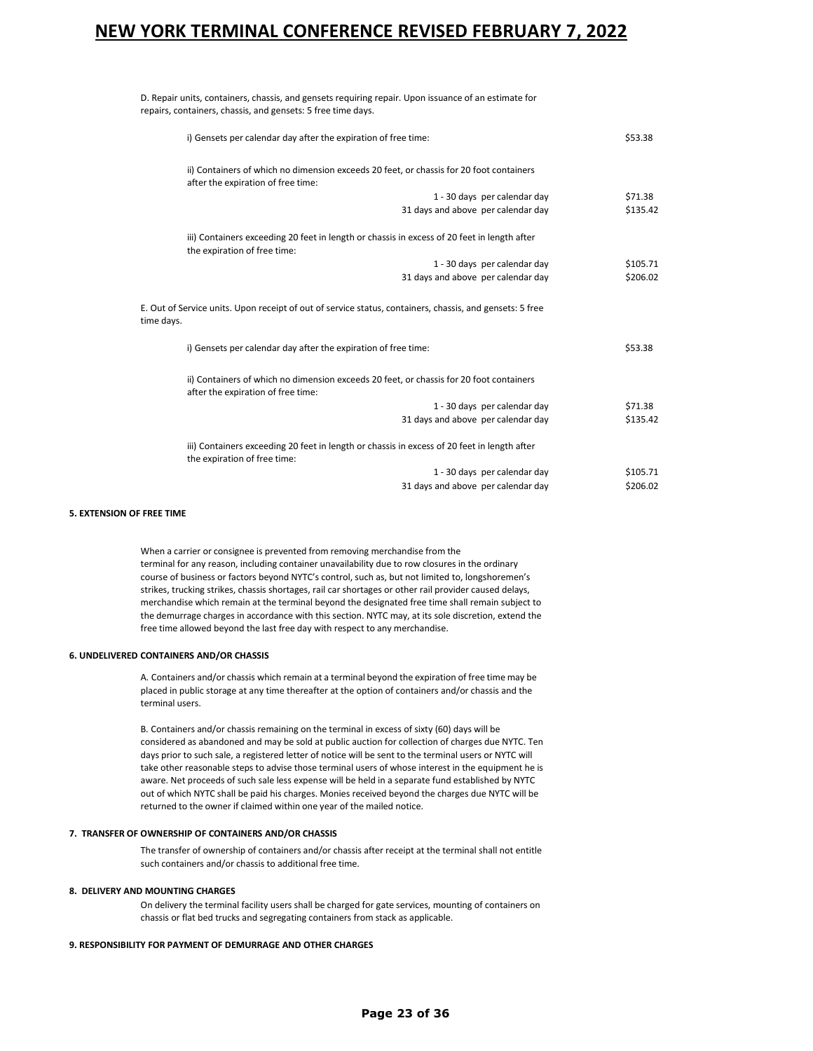D. Repair units, containers, chassis, and gensets requiring repair. Upon issuance of an estimate for repairs, containers, chassis, and gensets: 5 free time days.

|            | i) Gensets per calendar day after the expiration of free time:                                                                | \$53.38  |
|------------|-------------------------------------------------------------------------------------------------------------------------------|----------|
|            | ii) Containers of which no dimension exceeds 20 feet, or chassis for 20 foot containers<br>after the expiration of free time: |          |
|            | 1 - 30 days per calendar day                                                                                                  | \$71.38  |
|            | 31 days and above per calendar day                                                                                            | \$135.42 |
|            | iii) Containers exceeding 20 feet in length or chassis in excess of 20 feet in length after<br>the expiration of free time:   |          |
|            | 1 - 30 days per calendar day                                                                                                  | \$105.71 |
|            | 31 days and above per calendar day                                                                                            | \$206.02 |
| time days. | E. Out of Service units. Upon receipt of out of service status, containers, chassis, and gensets: 5 free                      |          |
|            | i) Gensets per calendar day after the expiration of free time:                                                                | \$53.38  |
|            | ii) Containers of which no dimension exceeds 20 feet, or chassis for 20 foot containers<br>after the expiration of free time: |          |
|            | 1 - 30 days per calendar day                                                                                                  | \$71.38  |
|            | 31 days and above per calendar day                                                                                            | \$135.42 |
|            | iii) Containers exceeding 20 feet in length or chassis in excess of 20 feet in length after<br>the expiration of free time:   |          |
|            | 1 - 30 days per calendar day                                                                                                  | \$105.71 |
|            | 31 days and above per calendar day                                                                                            | \$206.02 |
|            |                                                                                                                               |          |

#### **5. EXTENSION OF FREE TIME**

When a carrier or consignee is prevented from removing merchandise from the terminal for any reason, including container unavailability due to row closures in the ordinary course of business or factors beyond NYTC's control, such as, but not limited to, longshoremen's strikes, trucking strikes, chassis shortages, rail car shortages or other rail provider caused delays, merchandise which remain at the terminal beyond the designated free time shall remain subject to the demurrage charges in accordance with this section. NYTC may, at its sole discretion, extend the free time allowed beyond the last free day with respect to any merchandise.

#### **6. UNDELIVERED CONTAINERS AND/OR CHASSIS**

A. Containers and/or chassis which remain at a terminal beyond the expiration of free time may be placed in public storage at any time thereafter at the option of containers and/or chassis and the terminal users.

B. Containers and/or chassis remaining on the terminal in excess of sixty (60) days will be considered as abandoned and may be sold at public auction for collection of charges due NYTC. Ten days prior to such sale, a registered letter of notice will be sent to the terminal users or NYTC will take other reasonable steps to advise those terminal users of whose interest in the equipment he is aware. Net proceeds of such sale less expense will be held in a separate fund established by NYTC out of which NYTC shall be paid his charges. Monies received beyond the charges due NYTC will be returned to the owner if claimed within one year of the mailed notice.

#### **7. TRANSFER OF OWNERSHIP OF CONTAINERS AND/OR CHASSIS**

The transfer of ownership of containers and/or chassis after receipt at the terminal shall not entitle such containers and/or chassis to additional free time.

#### **8. DELIVERY AND MOUNTING CHARGES**

On delivery the terminal facility users shall be charged for gate services, mounting of containers on chassis or flat bed trucks and segregating containers from stack as applicable.

#### **9. RESPONSIBILITY FOR PAYMENT OF DEMURRAGE AND OTHER CHARGES**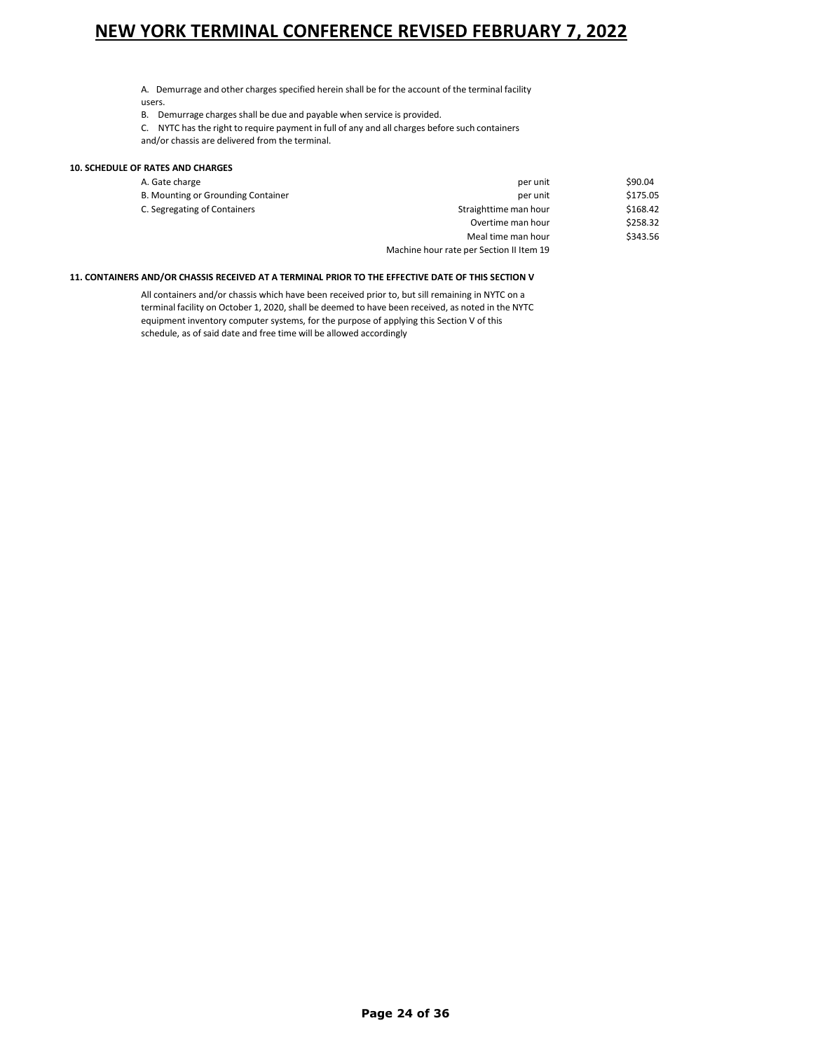A. Demurrage and other charges specified herein shall be for the account of the terminal facility users.

B. Demurrage charges shall be due and payable when service is provided.

C. NYTC has the right to require payment in full of any and all charges before such containers and/or chassis are delivered from the terminal.

### **10. SCHEDULE OF RATES AND CHARGES**

| A. Gate charge                     | per unit                                 | \$90.04  |
|------------------------------------|------------------------------------------|----------|
| B. Mounting or Grounding Container | per unit                                 | \$175.05 |
| C. Segregating of Containers       | Straighttime man hour                    | \$168.42 |
|                                    | Overtime man hour                        | \$258.32 |
|                                    | Meal time man hour                       | \$343.56 |
|                                    | Machine hour rate per Section II Item 19 |          |

### **11. CONTAINERS AND/OR CHASSIS RECEIVED AT A TERMINAL PRIOR TO THE EFFECTIVE DATE OF THIS SECTION V**

All containers and/or chassis which have been received prior to, but sill remaining in NYTC on a terminal facility on October 1, 2020, shall be deemed to have been received, as noted in the NYTC equipment inventory computer systems, for the purpose of applying this Section V of this schedule, as of said date and free time will be allowed accordingly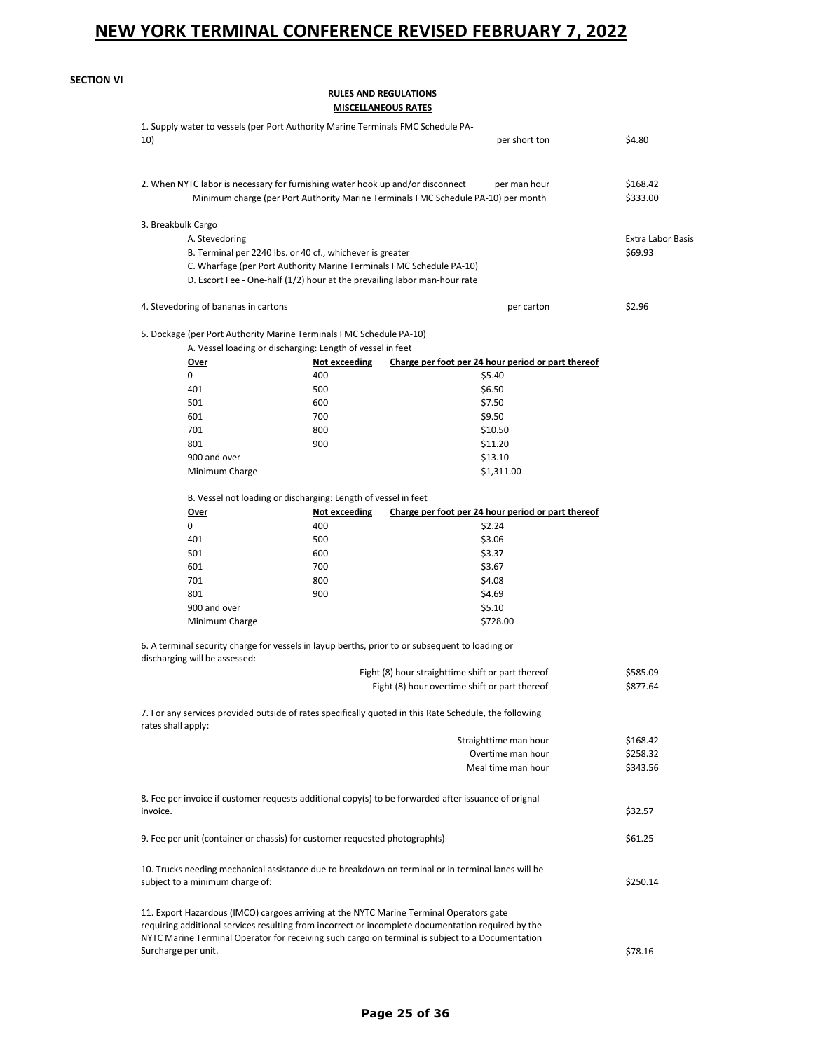| <b>SECTION VI</b> |  |
|-------------------|--|

**RULES AND REGULATIONS**

**MISCELLANEOUS RATES**

| 10)      |                                      | 1. Supply water to vessels (per Port Authority Marine Terminals FMC Schedule PA- | per short ton                                                                                          | \$4.80                   |
|----------|--------------------------------------|----------------------------------------------------------------------------------|--------------------------------------------------------------------------------------------------------|--------------------------|
|          |                                      |                                                                                  |                                                                                                        |                          |
|          |                                      | 2. When NYTC labor is necessary for furnishing water hook up and/or disconnect   | per man hour                                                                                           | \$168.42                 |
|          |                                      |                                                                                  | Minimum charge (per Port Authority Marine Terminals FMC Schedule PA-10) per month                      | \$333.00                 |
|          | 3. Breakbulk Cargo                   |                                                                                  |                                                                                                        |                          |
|          | A. Stevedoring                       |                                                                                  |                                                                                                        | <b>Extra Labor Basis</b> |
|          |                                      | B. Terminal per 2240 lbs. or 40 cf., whichever is greater                        |                                                                                                        | \$69.93                  |
|          |                                      | C. Wharfage (per Port Authority Marine Terminals FMC Schedule PA-10)             |                                                                                                        |                          |
|          |                                      | D. Escort Fee - One-half (1/2) hour at the prevailing labor man-hour rate        |                                                                                                        |                          |
|          | 4. Stevedoring of bananas in cartons |                                                                                  | per carton                                                                                             | \$2.96                   |
|          |                                      | 5. Dockage (per Port Authority Marine Terminals FMC Schedule PA-10)              |                                                                                                        |                          |
|          |                                      | A. Vessel loading or discharging: Length of vessel in feet                       |                                                                                                        |                          |
|          | Over                                 | Not exceeding                                                                    | Charge per foot per 24 hour period or part thereof                                                     |                          |
|          | 0                                    | 400                                                                              | \$5.40                                                                                                 |                          |
|          | 401                                  | 500                                                                              | \$6.50                                                                                                 |                          |
|          | 501                                  | 600                                                                              | \$7.50                                                                                                 |                          |
|          | 601                                  | 700                                                                              | \$9.50                                                                                                 |                          |
|          | 701                                  | 800                                                                              | \$10.50                                                                                                |                          |
|          | 801                                  | 900                                                                              | \$11.20                                                                                                |                          |
|          | 900 and over                         |                                                                                  | \$13.10                                                                                                |                          |
|          | Minimum Charge                       |                                                                                  | \$1,311.00                                                                                             |                          |
|          |                                      |                                                                                  |                                                                                                        |                          |
|          |                                      | B. Vessel not loading or discharging: Length of vessel in feet                   |                                                                                                        |                          |
|          | <u>Over</u>                          | Not exceeding                                                                    | Charge per foot per 24 hour period or part thereof                                                     |                          |
|          | 0                                    | 400                                                                              | \$2.24                                                                                                 |                          |
|          | 401                                  | 500                                                                              | \$3.06                                                                                                 |                          |
|          | 501                                  | 600                                                                              | \$3.37                                                                                                 |                          |
|          | 601                                  | 700                                                                              | \$3.67                                                                                                 |                          |
|          | 701                                  | 800                                                                              | \$4.08                                                                                                 |                          |
|          | 801                                  | 900                                                                              | \$4.69                                                                                                 |                          |
|          | 900 and over                         |                                                                                  | \$5.10                                                                                                 |                          |
|          | Minimum Charge                       |                                                                                  | \$728.00                                                                                               |                          |
|          |                                      |                                                                                  | 6. A terminal security charge for vessels in layup berths, prior to or subsequent to loading or        |                          |
|          | discharging will be assessed:        |                                                                                  | Eight (8) hour straighttime shift or part thereof                                                      | \$585.09                 |
|          |                                      |                                                                                  | Eight (8) hour overtime shift or part thereof                                                          | \$877.64                 |
|          |                                      |                                                                                  | 7. For any services provided outside of rates specifically quoted in this Rate Schedule, the following |                          |
|          | rates shall apply:                   |                                                                                  |                                                                                                        |                          |
|          |                                      |                                                                                  | Straighttime man hour                                                                                  | \$168.42                 |
|          |                                      |                                                                                  | Overtime man hour                                                                                      | \$258.32                 |
|          |                                      |                                                                                  | Meal time man hour                                                                                     | \$343.56                 |
|          |                                      |                                                                                  | 8. Fee per invoice if customer requests additional copy(s) to be forwarded after issuance of orignal   |                          |
| invoice. |                                      |                                                                                  |                                                                                                        | \$32.57                  |
|          |                                      |                                                                                  |                                                                                                        |                          |
|          |                                      | 9. Fee per unit (container or chassis) for customer requested photograph(s)      |                                                                                                        | \$61.25                  |
|          |                                      |                                                                                  | 10. Trucks needing mechanical assistance due to breakdown on terminal or in terminal lanes will be     | \$250.14                 |
|          | subject to a minimum charge of:      |                                                                                  |                                                                                                        |                          |
|          |                                      |                                                                                  | 11. Export Hazardous (IMCO) cargoes arriving at the NYTC Marine Terminal Operators gate                |                          |
|          |                                      |                                                                                  | requiring additional services resulting from incorrect or incomplete documentation required by the     |                          |
|          | Surcharge per unit.                  |                                                                                  | NYTC Marine Terminal Operator for receiving such cargo on terminal is subject to a Documentation       | \$78.16                  |
|          |                                      |                                                                                  |                                                                                                        |                          |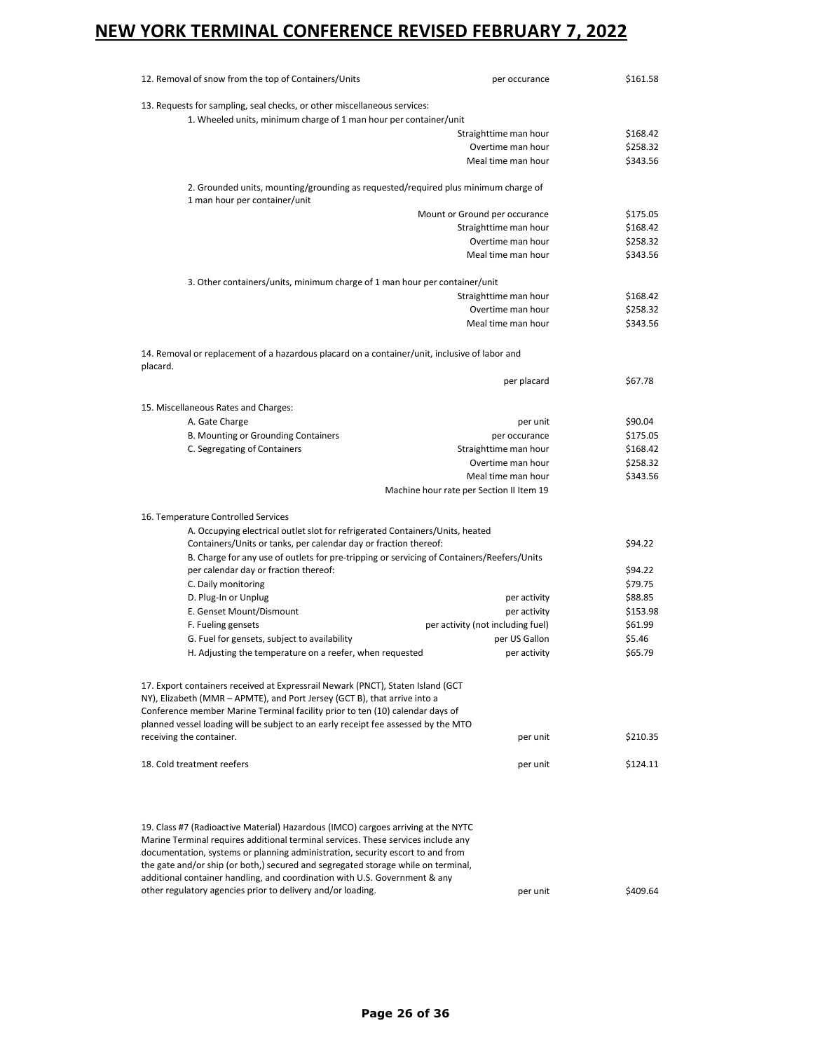| 12. Removal of snow from the top of Containers/Units                                                                                                                                                                                                     | per occurance                                                  | \$161.58 |
|----------------------------------------------------------------------------------------------------------------------------------------------------------------------------------------------------------------------------------------------------------|----------------------------------------------------------------|----------|
| 13. Requests for sampling, seal checks, or other miscellaneous services:                                                                                                                                                                                 |                                                                |          |
| 1. Wheeled units, minimum charge of 1 man hour per container/unit                                                                                                                                                                                        |                                                                |          |
|                                                                                                                                                                                                                                                          | Straighttime man hour                                          | \$168.42 |
|                                                                                                                                                                                                                                                          | Overtime man hour                                              | \$258.32 |
|                                                                                                                                                                                                                                                          | Meal time man hour                                             | \$343.56 |
| 2. Grounded units, mounting/grounding as requested/required plus minimum charge of<br>1 man hour per container/unit                                                                                                                                      |                                                                |          |
|                                                                                                                                                                                                                                                          | Mount or Ground per occurance                                  | \$175.05 |
|                                                                                                                                                                                                                                                          | Straighttime man hour                                          | \$168.42 |
|                                                                                                                                                                                                                                                          | Overtime man hour                                              | \$258.32 |
|                                                                                                                                                                                                                                                          | Meal time man hour                                             | \$343.56 |
| 3. Other containers/units, minimum charge of 1 man hour per container/unit                                                                                                                                                                               |                                                                |          |
|                                                                                                                                                                                                                                                          | Straighttime man hour                                          | \$168.42 |
|                                                                                                                                                                                                                                                          | Overtime man hour                                              | \$258.32 |
|                                                                                                                                                                                                                                                          | Meal time man hour                                             | \$343.56 |
| 14. Removal or replacement of a hazardous placard on a container/unit, inclusive of labor and                                                                                                                                                            |                                                                |          |
| placard.                                                                                                                                                                                                                                                 | per placard                                                    | \$67.78  |
|                                                                                                                                                                                                                                                          |                                                                |          |
| 15. Miscellaneous Rates and Charges:                                                                                                                                                                                                                     |                                                                |          |
| A. Gate Charge                                                                                                                                                                                                                                           | per unit                                                       | \$90.04  |
| B. Mounting or Grounding Containers                                                                                                                                                                                                                      | per occurance                                                  | \$175.05 |
| C. Segregating of Containers                                                                                                                                                                                                                             | Straighttime man hour                                          | \$168.42 |
|                                                                                                                                                                                                                                                          | Overtime man hour                                              | \$258.32 |
|                                                                                                                                                                                                                                                          | Meal time man hour<br>Machine hour rate per Section II Item 19 | \$343.56 |
|                                                                                                                                                                                                                                                          |                                                                |          |
| 16. Temperature Controlled Services                                                                                                                                                                                                                      |                                                                |          |
| A. Occupying electrical outlet slot for refrigerated Containers/Units, heated                                                                                                                                                                            |                                                                | \$94.22  |
| Containers/Units or tanks, per calendar day or fraction thereof:                                                                                                                                                                                         |                                                                |          |
| B. Charge for any use of outlets for pre-tripping or servicing of Containers/Reefers/Units<br>per calendar day or fraction thereof:                                                                                                                      |                                                                | \$94.22  |
| C. Daily monitoring                                                                                                                                                                                                                                      |                                                                | \$79.75  |
| D. Plug-In or Unplug                                                                                                                                                                                                                                     | per activity                                                   | \$88.85  |
| E. Genset Mount/Dismount                                                                                                                                                                                                                                 | per activity                                                   | \$153.98 |
| F. Fueling gensets                                                                                                                                                                                                                                       | per activity (not including fuel)                              | \$61.99  |
| G. Fuel for gensets, subject to availability                                                                                                                                                                                                             | per US Gallon                                                  | \$5.46   |
|                                                                                                                                                                                                                                                          |                                                                |          |
| H. Adjusting the temperature on a reefer, when requested                                                                                                                                                                                                 | per activity                                                   | \$65.79  |
| 17. Export containers received at Expressrail Newark (PNCT), Staten Island (GCT<br>NY), Elizabeth (MMR - APMTE), and Port Jersey (GCT B), that arrive into a<br>Conference member Marine Terminal facility prior to ten (10) calendar days of            |                                                                |          |
| planned vessel loading will be subject to an early receipt fee assessed by the MTO                                                                                                                                                                       |                                                                |          |
| receiving the container.                                                                                                                                                                                                                                 | per unit                                                       | \$210.35 |
| 18. Cold treatment reefers                                                                                                                                                                                                                               | per unit                                                       | \$124.11 |
|                                                                                                                                                                                                                                                          |                                                                |          |
| 19. Class #7 (Radioactive Material) Hazardous (IMCO) cargoes arriving at the NYTC                                                                                                                                                                        |                                                                |          |
| Marine Terminal requires additional terminal services. These services include any<br>documentation, systems or planning administration, security escort to and from<br>the gate and/or ship (or both,) secured and segregated storage while on terminal, |                                                                |          |
| additional container handling, and coordination with U.S. Government & any                                                                                                                                                                               |                                                                |          |
| other regulatory agencies prior to delivery and/or loading.                                                                                                                                                                                              | per unit                                                       | \$409.64 |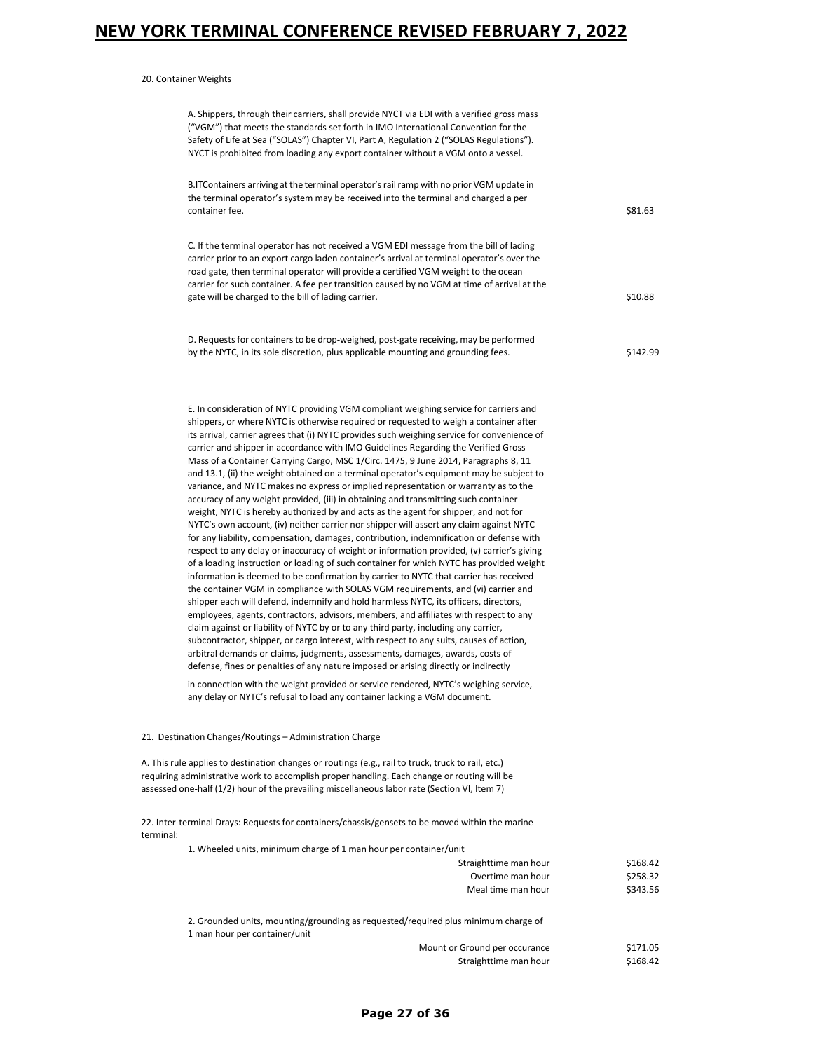20. Container Weights

|           | A. Shippers, through their carriers, shall provide NYCT via EDI with a verified gross mass<br>("VGM") that meets the standards set forth in IMO International Convention for the<br>Safety of Life at Sea ("SOLAS") Chapter VI, Part A, Regulation 2 ("SOLAS Regulations").<br>NYCT is prohibited from loading any export container without a VGM onto a vessel.                                                                                                                                                                                                                                                                                                                                                                                                                                                                                                                                                                                                                                                                                                                                                                                                                                                                                                                                                                                                                                                                                                                                                                                                                                                                                                                                                                                                                                                                                                                                                                                                                                                                                                                                         |                                  |
|-----------|----------------------------------------------------------------------------------------------------------------------------------------------------------------------------------------------------------------------------------------------------------------------------------------------------------------------------------------------------------------------------------------------------------------------------------------------------------------------------------------------------------------------------------------------------------------------------------------------------------------------------------------------------------------------------------------------------------------------------------------------------------------------------------------------------------------------------------------------------------------------------------------------------------------------------------------------------------------------------------------------------------------------------------------------------------------------------------------------------------------------------------------------------------------------------------------------------------------------------------------------------------------------------------------------------------------------------------------------------------------------------------------------------------------------------------------------------------------------------------------------------------------------------------------------------------------------------------------------------------------------------------------------------------------------------------------------------------------------------------------------------------------------------------------------------------------------------------------------------------------------------------------------------------------------------------------------------------------------------------------------------------------------------------------------------------------------------------------------------------|----------------------------------|
|           | B.ITContainers arriving at the terminal operator's rail ramp with no prior VGM update in<br>the terminal operator's system may be received into the terminal and charged a per<br>container fee.                                                                                                                                                                                                                                                                                                                                                                                                                                                                                                                                                                                                                                                                                                                                                                                                                                                                                                                                                                                                                                                                                                                                                                                                                                                                                                                                                                                                                                                                                                                                                                                                                                                                                                                                                                                                                                                                                                         | \$81.63                          |
|           | C. If the terminal operator has not received a VGM EDI message from the bill of lading<br>carrier prior to an export cargo laden container's arrival at terminal operator's over the<br>road gate, then terminal operator will provide a certified VGM weight to the ocean<br>carrier for such container. A fee per transition caused by no VGM at time of arrival at the<br>gate will be charged to the bill of lading carrier.                                                                                                                                                                                                                                                                                                                                                                                                                                                                                                                                                                                                                                                                                                                                                                                                                                                                                                                                                                                                                                                                                                                                                                                                                                                                                                                                                                                                                                                                                                                                                                                                                                                                         | \$10.88                          |
|           | D. Requests for containers to be drop-weighed, post-gate receiving, may be performed<br>by the NYTC, in its sole discretion, plus applicable mounting and grounding fees.                                                                                                                                                                                                                                                                                                                                                                                                                                                                                                                                                                                                                                                                                                                                                                                                                                                                                                                                                                                                                                                                                                                                                                                                                                                                                                                                                                                                                                                                                                                                                                                                                                                                                                                                                                                                                                                                                                                                | \$142.99                         |
|           | E. In consideration of NYTC providing VGM compliant weighing service for carriers and<br>shippers, or where NYTC is otherwise required or requested to weigh a container after<br>its arrival, carrier agrees that (i) NYTC provides such weighing service for convenience of<br>carrier and shipper in accordance with IMO Guidelines Regarding the Verified Gross<br>Mass of a Container Carrying Cargo, MSC 1/Circ. 1475, 9 June 2014, Paragraphs 8, 11<br>and 13.1, (ii) the weight obtained on a terminal operator's equipment may be subject to<br>variance, and NYTC makes no express or implied representation or warranty as to the<br>accuracy of any weight provided, (iii) in obtaining and transmitting such container<br>weight, NYTC is hereby authorized by and acts as the agent for shipper, and not for<br>NYTC's own account, (iv) neither carrier nor shipper will assert any claim against NYTC<br>for any liability, compensation, damages, contribution, indemnification or defense with<br>respect to any delay or inaccuracy of weight or information provided, (v) carrier's giving<br>of a loading instruction or loading of such container for which NYTC has provided weight<br>information is deemed to be confirmation by carrier to NYTC that carrier has received<br>the container VGM in compliance with SOLAS VGM requirements, and (vi) carrier and<br>shipper each will defend, indemnify and hold harmless NYTC, its officers, directors,<br>employees, agents, contractors, advisors, members, and affiliates with respect to any<br>claim against or liability of NYTC by or to any third party, including any carrier,<br>subcontractor, shipper, or cargo interest, with respect to any suits, causes of action,<br>arbitral demands or claims, judgments, assessments, damages, awards, costs of<br>defense, fines or penalties of any nature imposed or arising directly or indirectly<br>in connection with the weight provided or service rendered, NYTC's weighing service,<br>any delay or NYTC's refusal to load any container lacking a VGM document. |                                  |
|           | 21. Destination Changes/Routings - Administration Charge                                                                                                                                                                                                                                                                                                                                                                                                                                                                                                                                                                                                                                                                                                                                                                                                                                                                                                                                                                                                                                                                                                                                                                                                                                                                                                                                                                                                                                                                                                                                                                                                                                                                                                                                                                                                                                                                                                                                                                                                                                                 |                                  |
|           | A. This rule applies to destination changes or routings (e.g., rail to truck, truck to rail, etc.)<br>requiring administrative work to accomplish proper handling. Each change or routing will be<br>assessed one-half (1/2) hour of the prevailing miscellaneous labor rate (Section VI, Item 7)                                                                                                                                                                                                                                                                                                                                                                                                                                                                                                                                                                                                                                                                                                                                                                                                                                                                                                                                                                                                                                                                                                                                                                                                                                                                                                                                                                                                                                                                                                                                                                                                                                                                                                                                                                                                        |                                  |
| terminal: | 22. Inter-terminal Drays: Requests for containers/chassis/gensets to be moved within the marine                                                                                                                                                                                                                                                                                                                                                                                                                                                                                                                                                                                                                                                                                                                                                                                                                                                                                                                                                                                                                                                                                                                                                                                                                                                                                                                                                                                                                                                                                                                                                                                                                                                                                                                                                                                                                                                                                                                                                                                                          |                                  |
|           | 1. Wheeled units, minimum charge of 1 man hour per container/unit<br>Straighttime man hour<br>Overtime man hour<br>Meal time man hour                                                                                                                                                                                                                                                                                                                                                                                                                                                                                                                                                                                                                                                                                                                                                                                                                                                                                                                                                                                                                                                                                                                                                                                                                                                                                                                                                                                                                                                                                                                                                                                                                                                                                                                                                                                                                                                                                                                                                                    | \$168.42<br>\$258.32<br>\$343.56 |
|           | 2. Grounded units, mounting/grounding as requested/required plus minimum charge of<br>1 man hour per container/unit                                                                                                                                                                                                                                                                                                                                                                                                                                                                                                                                                                                                                                                                                                                                                                                                                                                                                                                                                                                                                                                                                                                                                                                                                                                                                                                                                                                                                                                                                                                                                                                                                                                                                                                                                                                                                                                                                                                                                                                      |                                  |
|           | Mount or Ground per occurance<br>Straighttime man hour                                                                                                                                                                                                                                                                                                                                                                                                                                                                                                                                                                                                                                                                                                                                                                                                                                                                                                                                                                                                                                                                                                                                                                                                                                                                                                                                                                                                                                                                                                                                                                                                                                                                                                                                                                                                                                                                                                                                                                                                                                                   | \$171.05<br>\$168.42             |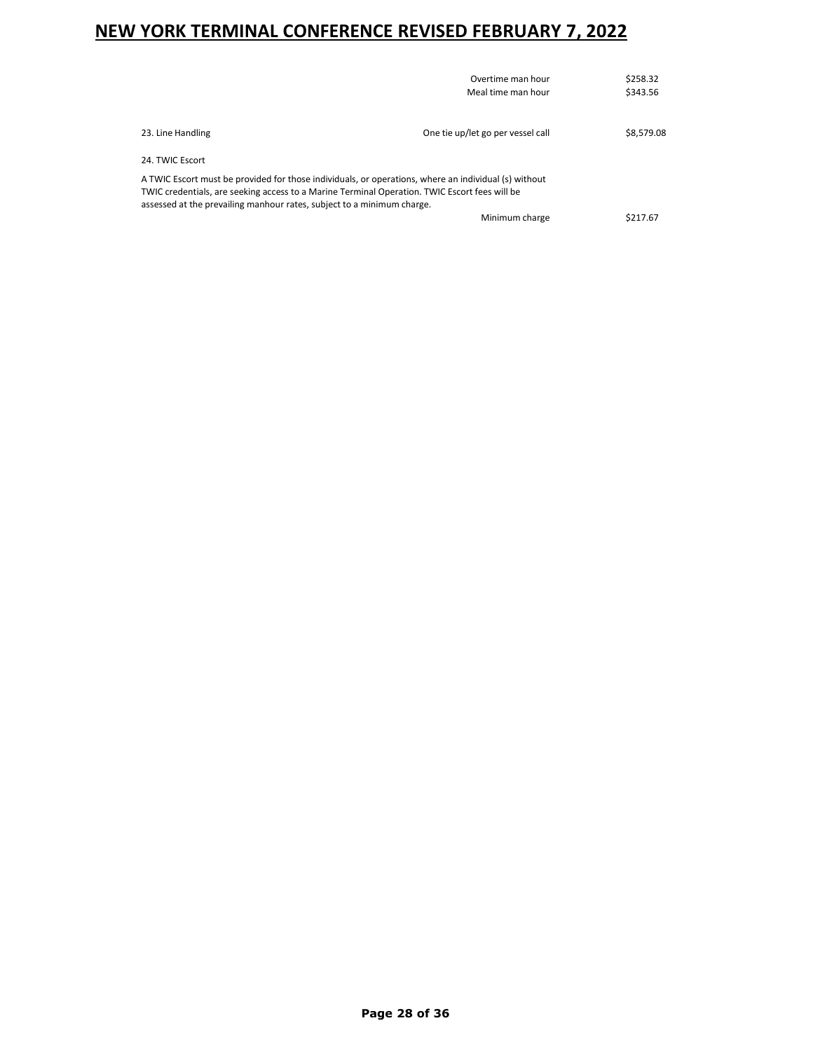|                                                                                                      | Overtime man hour                 | \$258.32   |
|------------------------------------------------------------------------------------------------------|-----------------------------------|------------|
|                                                                                                      | Meal time man hour                | \$343.56   |
|                                                                                                      |                                   |            |
| 23. Line Handling                                                                                    | One tie up/let go per vessel call | \$8.579.08 |
| 24. TWIC Escort                                                                                      |                                   |            |
| A TWIC Escort must be provided for those individuals, or operations, where an individual (s) without |                                   |            |
| TWIC credentials, are seeking access to a Marine Terminal Operation. TWIC Escort fees will be        |                                   |            |
| assessed at the prevailing manhour rates, subject to a minimum charge.                               |                                   |            |
|                                                                                                      | Minimum charge                    | \$217.67   |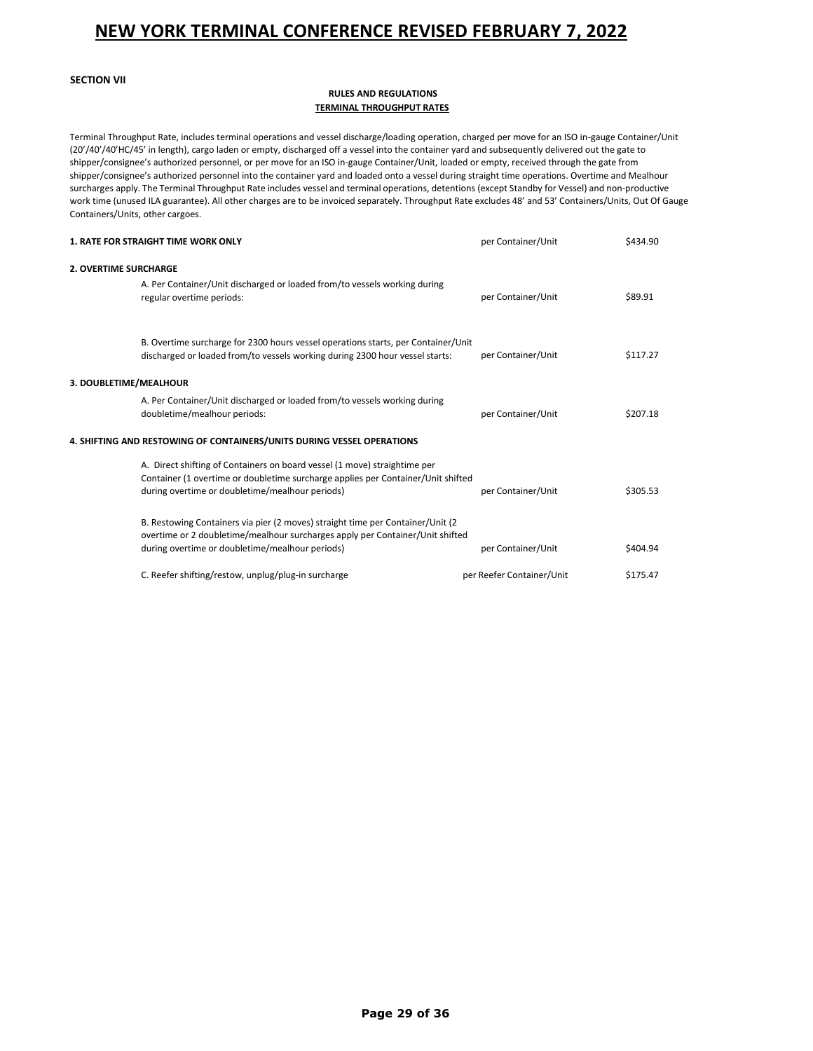### **SECTION VII**

### **RULES AND REGULATIONS TERMINAL THROUGHPUT RATES**

Terminal Throughput Rate, includes terminal operations and vessel discharge/loading operation, charged per move for an ISO in-gauge Container/Unit (20'/40'/40'HC/45' in length), cargo laden or empty, discharged off a vessel into the container yard and subsequently delivered out the gate to shipper/consignee's authorized personnel, or per move for an ISO in-gauge Container/Unit, loaded or empty, received through the gate from shipper/consignee's authorized personnel into the container yard and loaded onto a vessel during straight time operations. Overtime and Mealhour surcharges apply. The Terminal Throughput Rate includes vessel and terminal operations, detentions (except Standby for Vessel) and non-productive work time (unused ILA guarantee). All other charges are to be invoiced separately. Throughput Rate excludes 48' and 53' Containers/Units, Out Of Gauge Containers/Units, other cargoes.

| <b>1. RATE FOR STRAIGHT TIME WORK ONLY</b>                                                                                                                                                                         | per Container/Unit        | \$434.90 |
|--------------------------------------------------------------------------------------------------------------------------------------------------------------------------------------------------------------------|---------------------------|----------|
| <b>2. OVERTIME SURCHARGE</b>                                                                                                                                                                                       |                           |          |
| A. Per Container/Unit discharged or loaded from/to vessels working during<br>regular overtime periods:                                                                                                             | per Container/Unit        | \$89.91  |
| B. Overtime surcharge for 2300 hours vessel operations starts, per Container/Unit<br>discharged or loaded from/to vessels working during 2300 hour vessel starts:                                                  | per Container/Unit        | \$117.27 |
| 3. DOUBLETIME/MEALHOUR                                                                                                                                                                                             |                           |          |
| A. Per Container/Unit discharged or loaded from/to vessels working during<br>doubletime/mealhour periods:                                                                                                          | per Container/Unit        | \$207.18 |
| 4. SHIFTING AND RESTOWING OF CONTAINERS/UNITS DURING VESSEL OPERATIONS                                                                                                                                             |                           |          |
| A. Direct shifting of Containers on board vessel (1 move) straightime per<br>Container (1 overtime or doubletime surcharge applies per Container/Unit shifted<br>during overtime or doubletime/mealhour periods)   | per Container/Unit        | \$305.53 |
| B. Restowing Containers via pier (2 moves) straight time per Container/Unit (2<br>overtime or 2 doubletime/mealhour surcharges apply per Container/Unit shifted<br>during overtime or doubletime/mealhour periods) | per Container/Unit        | \$404.94 |
| C. Reefer shifting/restow, unplug/plug-in surcharge                                                                                                                                                                | per Reefer Container/Unit | \$175.47 |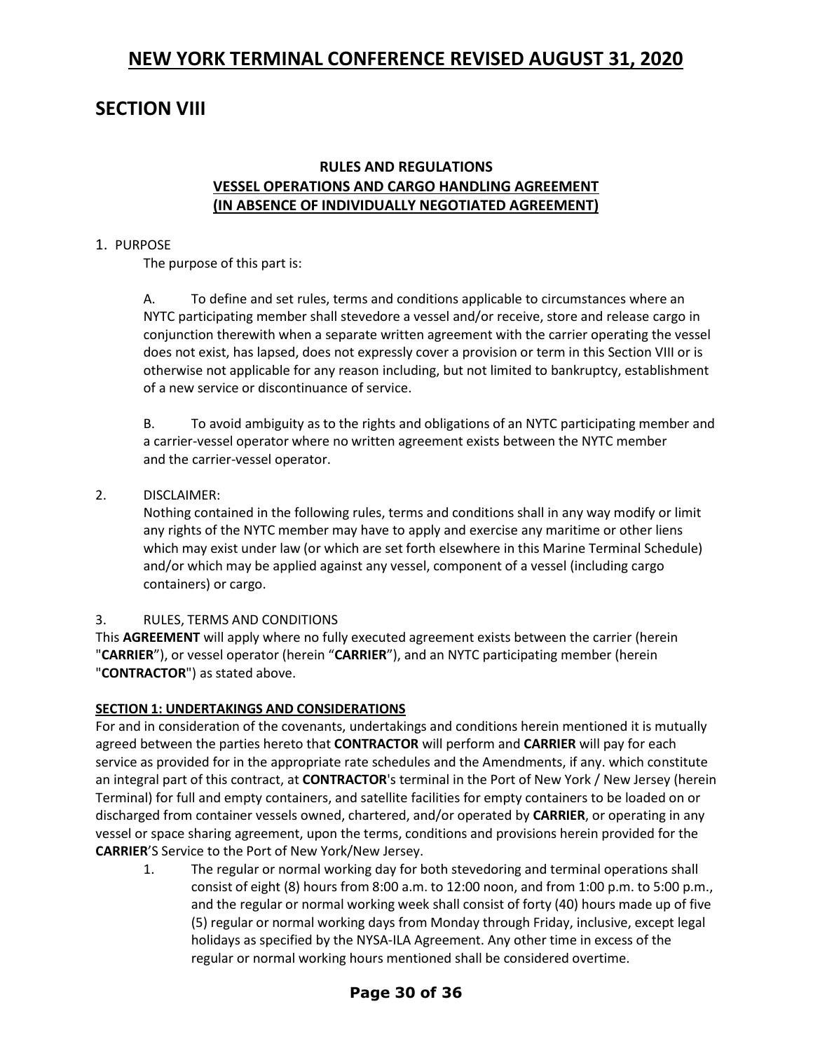# **SECTION VIII**

## **RULES AND REGULATIONS VESSEL OPERATIONS AND CARGO HANDLING AGREEMENT (IN ABSENCE OF INDIVIDUALLY NEGOTIATED AGREEMENT)**

## 1. PURPOSE

The purpose of this part is:

A. To define and set rules, terms and conditions applicable to circumstances where an NYTC participating member shall stevedore a vessel and/or receive, store and release cargo in conjunction therewith when a separate written agreement with the carrier operating the vessel does not exist, has lapsed, does not expressly cover a provision or term in this Section VIII or is otherwise not applicable for any reason including, but not limited to bankruptcy, establishment of a new service or discontinuance of service.

B. To avoid ambiguity as to the rights and obligations of an NYTC participating member and a carrier-vessel operator where no written agreement exists between the NYTC member and the carrier-vessel operator.

## 2. DISCLAIMER:

Nothing contained in the following rules, terms and conditions shall in any way modify or limit any rights of the NYTC member may have to apply and exercise any maritime or other liens which may exist under law (or which are set forth elsewhere in this Marine Terminal Schedule) and/or which may be applied against any vessel, component of a vessel (including cargo containers) or cargo.

## 3. RULES, TERMS AND CONDITIONS

This **AGREEMENT** will apply where no fully executed agreement exists between the carrier (herein "**CARRIER**"), or vessel operator (herein "**CARRIER**"), and an NYTC participating member (herein "**CONTRACTOR**") as stated above.

## **SECTION 1: UNDERTAKINGS AND CONSIDERATIONS**

For and in consideration of the covenants, undertakings and conditions herein mentioned it is mutually agreed between the parties hereto that **CONTRACTOR** will perform and **CARRIER** will pay for each service as provided for in the appropriate rate schedules and the Amendments, if any. which constitute an integral part of this contract, at **CONTRACTOR**'s terminal in the Port of New York / New Jersey (herein Terminal) for full and empty containers, and satellite facilities for empty containers to be loaded on or discharged from container vessels owned, chartered, and/or operated by **CARRIER**, or operating in any vessel or space sharing agreement, upon the terms, conditions and provisions herein provided for the **CARRIER**'S Service to the Port of New York/New Jersey.

1. The regular or normal working day for both stevedoring and terminal operations shall consist of eight (8) hours from 8:00 a.m. to 12:00 noon, and from 1:00 p.m. to 5:00 p.m., and the regular or normal working week shall consist of forty (40) hours made up of five (5) regular or normal working days from Monday through Friday, inclusive, except legal holidays as specified by the NYSA-ILA Agreement. Any other time in excess of the regular or normal working hours mentioned shall be considered overtime.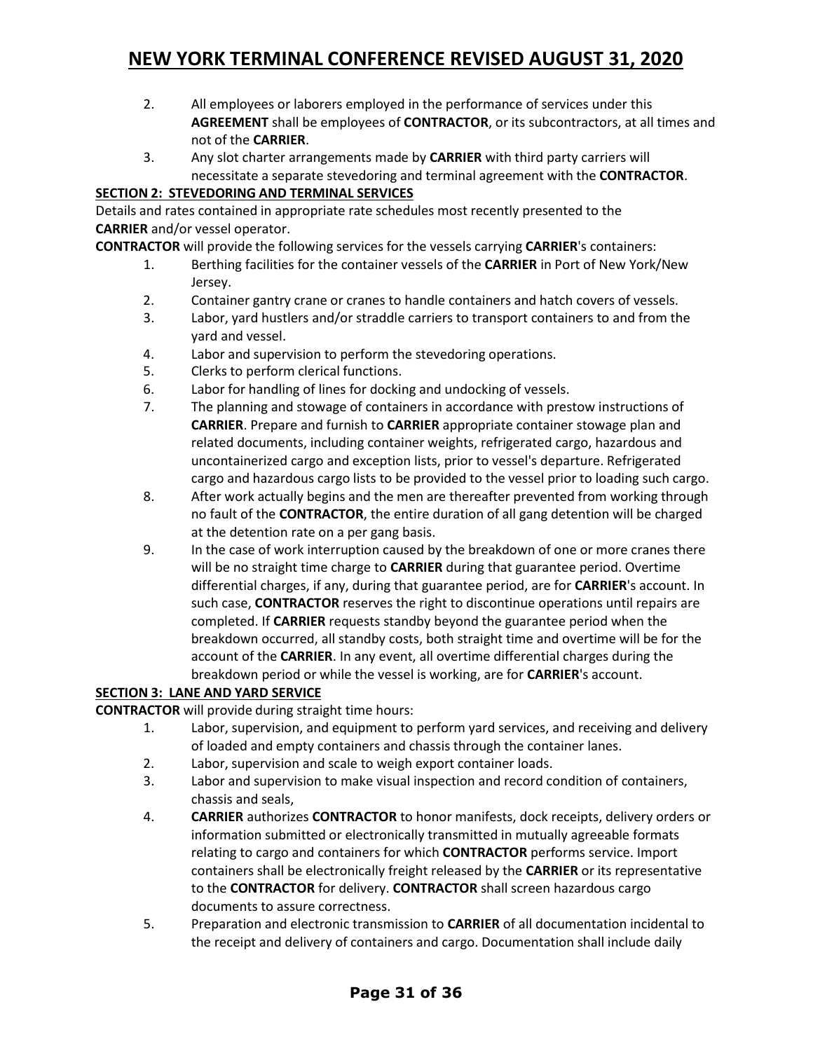- 2. All employees or laborers employed in the performance of services under this **AGREEMENT** shall be employees of **CONTRACTOR**, or its subcontractors, at all times and not of the **CARRIER**.
- 3. Any slot charter arrangements made by **CARRIER** with third party carriers will necessitate a separate stevedoring and terminal agreement with the **CONTRACTOR**.

## **SECTION 2: STEVEDORING AND TERMINAL SERVICES**

Details and rates contained in appropriate rate schedules most recently presented to the **CARRIER** and/or vessel operator.

**CONTRACTOR** will provide the following services for the vessels carrying **CARRIER**'s containers:

- 1. Berthing facilities for the container vessels of the **CARRIER** in Port of New York/New Jersey.
- 2. Container gantry crane or cranes to handle containers and hatch covers of vessels.
- 3. Labor, yard hustlers and/or straddle carriers to transport containers to and from the yard and vessel.
- 4. Labor and supervision to perform the stevedoring operations.
- 5. Clerks to perform clerical functions.
- 6. Labor for handling of lines for docking and undocking of vessels.
- 7. The planning and stowage of containers in accordance with prestow instructions of **CARRIER**. Prepare and furnish to **CARRIER** appropriate container stowage plan and related documents, including container weights, refrigerated cargo, hazardous and uncontainerized cargo and exception lists, prior to vessel's departure. Refrigerated cargo and hazardous cargo lists to be provided to the vessel prior to loading such cargo.
- 8. After work actually begins and the men are thereafter prevented from working through no fault of the **CONTRACTOR**, the entire duration of all gang detention will be charged at the detention rate on a per gang basis.
- 9. In the case of work interruption caused by the breakdown of one or more cranes there will be no straight time charge to **CARRIER** during that guarantee period. Overtime differential charges, if any, during that guarantee period, are for **CARRIER**'s account. In such case, **CONTRACTOR** reserves the right to discontinue operations until repairs are completed. If **CARRIER** requests standby beyond the guarantee period when the breakdown occurred, all standby costs, both straight time and overtime will be for the account of the **CARRIER**. In any event, all overtime differential charges during the breakdown period or while the vessel is working, are for **CARRIER**'s account.

## **SECTION 3: LANE AND YARD SERVICE**

**CONTRACTOR** will provide during straight time hours:

- 1. Labor, supervision, and equipment to perform yard services, and receiving and delivery of loaded and empty containers and chassis through the container lanes.
- 2. Labor, supervision and scale to weigh export container loads.
- 3. Labor and supervision to make visual inspection and record condition of containers, chassis and seals,
- 4. **CARRIER** authorizes **CONTRACTOR** to honor manifests, dock receipts, delivery orders or information submitted or electronically transmitted in mutually agreeable formats relating to cargo and containers for which **CONTRACTOR** performs service. Import containers shall be electronically freight released by the **CARRIER** or its representative to the **CONTRACTOR** for delivery. **CONTRACTOR** shall screen hazardous cargo documents to assure correctness.
- 5. Preparation and electronic transmission to **CARRIER** of all documentation incidental to the receipt and delivery of containers and cargo. Documentation shall include daily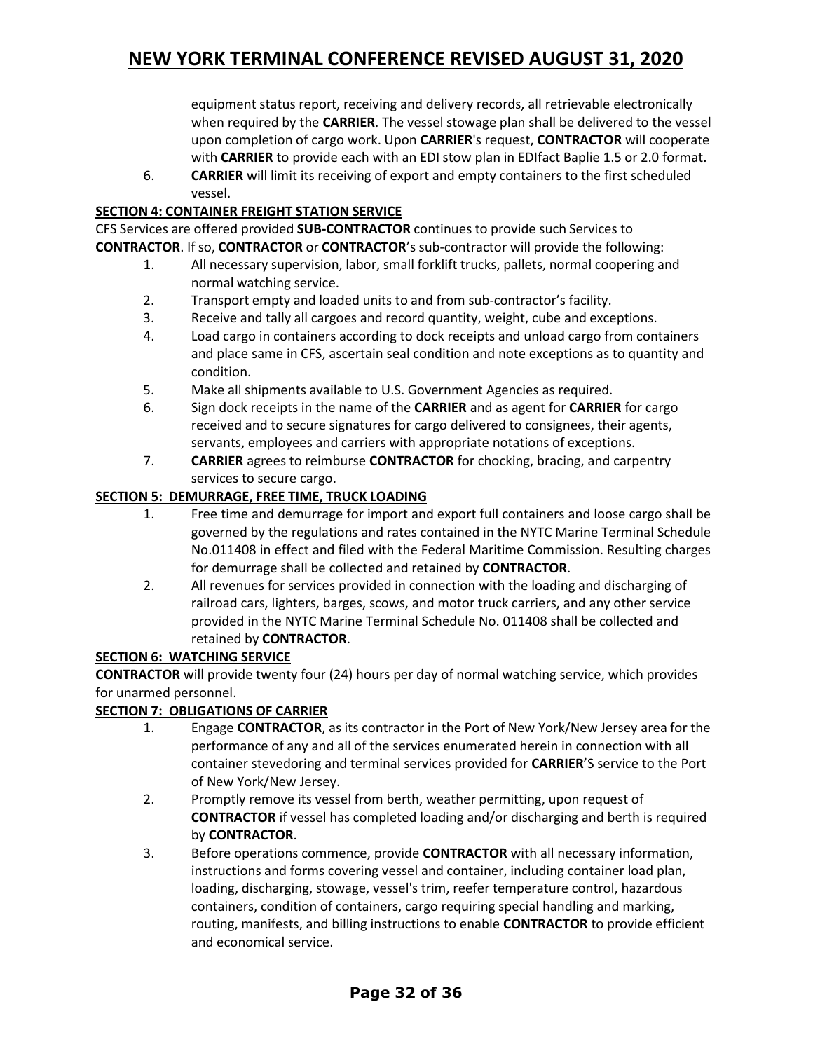equipment status report, receiving and delivery records, all retrievable electronically when required by the **CARRIER**. The vessel stowage plan shall be delivered to the vessel upon completion of cargo work. Upon **CARRIER**'s request, **CONTRACTOR** will cooperate with **CARRIER** to provide each with an EDI stow plan in EDIfact Baplie 1.5 or 2.0 format.

6. **CARRIER** will limit its receiving of export and empty containers to the first scheduled vessel.

## **SECTION 4: CONTAINER FREIGHT STATION SERVICE**

CFS Services are offered provided **SUB-CONTRACTOR** continues to provide such Services to **CONTRACTOR**. Ifso, **CONTRACTOR** or **CONTRACTOR**'s sub-contractor will provide the following:

- 1. All necessary supervision, labor, small forklift trucks, pallets, normal coopering and normal watching service.
- 2. Transport empty and loaded units to and from sub-contractor's facility.
- 3. Receive and tally all cargoes and record quantity, weight, cube and exceptions.
- 4. Load cargo in containers according to dock receipts and unload cargo from containers and place same in CFS, ascertain seal condition and note exceptions as to quantity and condition.
- 5. Make all shipments available to U.S. Government Agencies as required.
- 6. Sign dock receipts in the name of the **CARRIER** and as agent for **CARRIER** for cargo received and to secure signatures for cargo delivered to consignees, their agents, servants, employees and carriers with appropriate notations of exceptions.
- 7. **CARRIER** agrees to reimburse **CONTRACTOR** for chocking, bracing, and carpentry services to secure cargo.

## **SECTION 5: DEMURRAGE, FREE TIME, TRUCK LOADING**

- 1. Free time and demurrage for import and export full containers and loose cargo shall be governed by the regulations and rates contained in the NYTC Marine Terminal Schedule No.011408 in effect and filed with the Federal Maritime Commission. Resulting charges for demurrage shall be collected and retained by **CONTRACTOR**.
- 2. All revenues for services provided in connection with the loading and discharging of railroad cars, lighters, barges, scows, and motor truck carriers, and any other service provided in the NYTC Marine Terminal Schedule No. 011408 shall be collected and retained by **CONTRACTOR**.

## **SECTION 6: WATCHING SERVICE**

**CONTRACTOR** will provide twenty four (24) hours per day of normal watching service, which provides for unarmed personnel.

## **SECTION 7: OBLIGATIONS OF CARRIER**

- 1. Engage **CONTRACTOR**, as its contractor in the Port of New York/New Jersey area for the performance of any and all of the services enumerated herein in connection with all container stevedoring and terminal services provided for **CARRIER**'S service to the Port of New York/New Jersey.
- 2. Promptly remove its vessel from berth, weather permitting, upon request of **CONTRACTOR** if vessel has completed loading and/or discharging and berth is required by **CONTRACTOR**.
- 3. Before operations commence, provide **CONTRACTOR** with all necessary information, instructions and forms covering vessel and container, including container load plan, loading, discharging, stowage, vessel's trim, reefer temperature control, hazardous containers, condition of containers, cargo requiring special handling and marking, routing, manifests, and billing instructions to enable **CONTRACTOR** to provide efficient and economical service.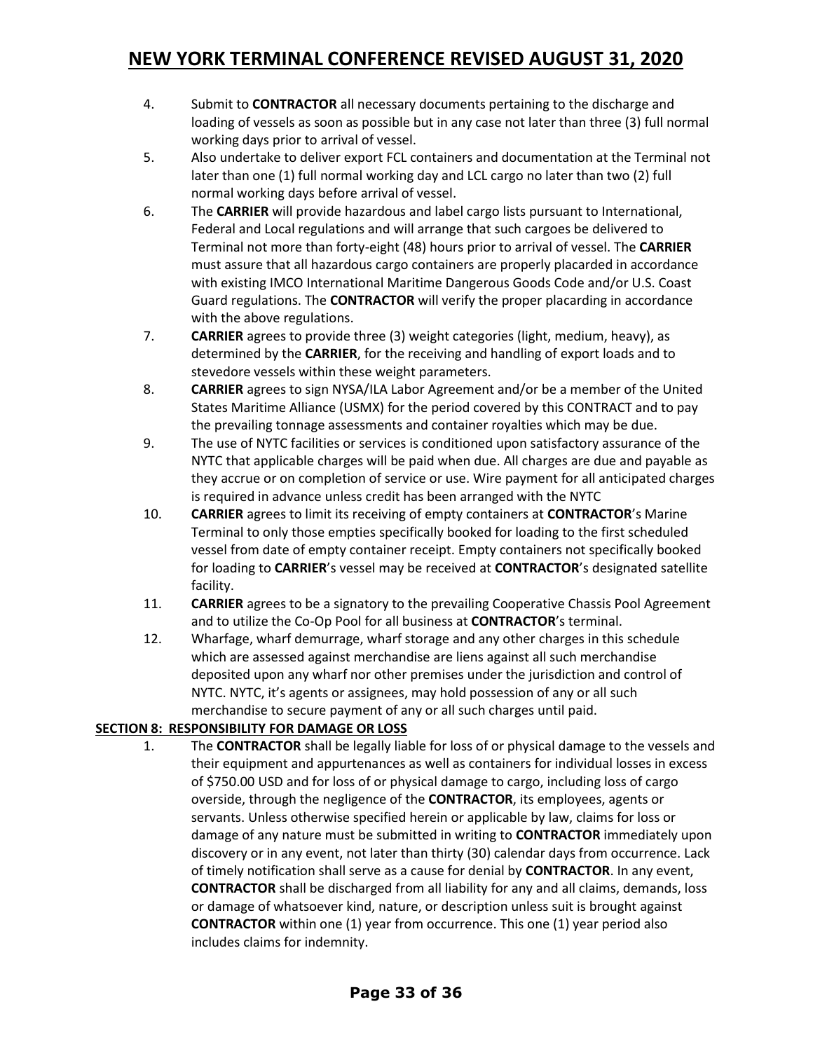- 4. Submit to **CONTRACTOR** all necessary documents pertaining to the discharge and loading of vessels as soon as possible but in any case not later than three (3) full normal working days prior to arrival of vessel.
- 5. Also undertake to deliver export FCL containers and documentation at the Terminal not later than one (1) full normal working day and LCL cargo no later than two (2) full normal working days before arrival of vessel.
- 6. The **CARRIER** will provide hazardous and label cargo lists pursuant to International, Federal and Local regulations and will arrange that such cargoes be delivered to Terminal not more than forty-eight (48) hours prior to arrival of vessel. The **CARRIER** must assure that all hazardous cargo containers are properly placarded in accordance with existing IMCO International Maritime Dangerous Goods Code and/or U.S. Coast Guard regulations. The **CONTRACTOR** will verify the proper placarding in accordance with the above regulations.
- 7. **CARRIER** agrees to provide three (3) weight categories (light, medium, heavy), as determined by the **CARRIER**, for the receiving and handling of export loads and to stevedore vessels within these weight parameters.
- 8. **CARRIER** agrees to sign NYSA/ILA Labor Agreement and/or be a member of the United States Maritime Alliance (USMX) for the period covered by this CONTRACT and to pay the prevailing tonnage assessments and container royalties which may be due.
- 9. The use of NYTC facilities or services is conditioned upon satisfactory assurance of the NYTC that applicable charges will be paid when due. All charges are due and payable as they accrue or on completion of service or use. Wire payment for all anticipated charges is required in advance unless credit has been arranged with the NYTC
- 10. **CARRIER** agrees to limit its receiving of empty containers at **CONTRACTOR**'s Marine Terminal to only those empties specifically booked for loading to the first scheduled vessel from date of empty container receipt. Empty containers not specifically booked for loading to **CARRIER**'s vessel may be received at **CONTRACTOR**'s designated satellite facility.
- 11. **CARRIER** agrees to be a signatory to the prevailing Cooperative Chassis Pool Agreement and to utilize the Co-Op Pool for all business at **CONTRACTOR**'s terminal.
- 12. Wharfage, wharf demurrage, wharf storage and any other charges in this schedule which are assessed against merchandise are liens against all such merchandise deposited upon any wharf nor other premises under the jurisdiction and control of NYTC. NYTC, it's agents or assignees, may hold possession of any or all such merchandise to secure payment of any or all such charges until paid.

## **SECTION 8: RESPONSIBILITY FOR DAMAGE OR LOSS**

1. The **CONTRACTOR** shall be legally liable for loss of or physical damage to the vessels and their equipment and appurtenances as well as containers for individual losses in excess of \$750.00 USD and for loss of or physical damage to cargo, including loss of cargo overside, through the negligence of the **CONTRACTOR**, its employees, agents or servants. Unless otherwise specified herein or applicable by law, claims for loss or damage of any nature must be submitted in writing to **CONTRACTOR** immediately upon discovery or in any event, not later than thirty (30) calendar days from occurrence. Lack of timely notification shall serve as a cause for denial by **CONTRACTOR**. In any event, **CONTRACTOR** shall be discharged from all liability for any and all claims, demands, loss or damage of whatsoever kind, nature, or description unless suit is brought against **CONTRACTOR** within one (1) year from occurrence. This one (1) year period also includes claims for indemnity.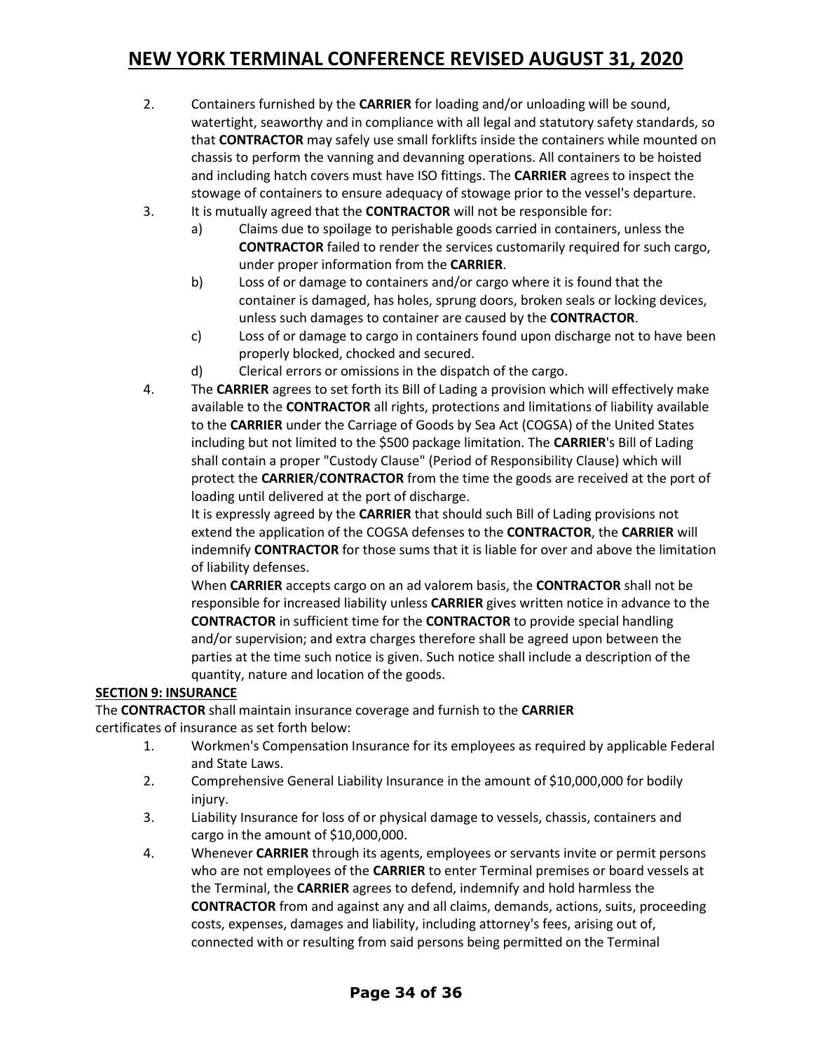- 2. Containers furnished by the **CARRIER** for loading and/or unloading will be sound, watertight, seaworthy and in compliance with all legal and statutory safety standards, so that **CONTRACTOR** may safely use small forklifts inside the containers while mounted on chassis to perform the vanning and devanning operations. All containers to be hoisted and including hatch covers must have ISO fittings. The **CARRIER** agrees to inspect the stowage of containers to ensure adequacy of stowage prior to the vessel's departure.
- 3. It is mutually agreed that the **CONTRACTOR** will not be responsible for:
	- a) Claims due to spoilage to perishable goods carried in containers, unless the **CONTRACTOR** failed to render the services customarily required for such cargo, under proper information from the **CARRIER**.
	- b) Loss of or damage to containers and/or cargo where it is found that the container is damaged, has holes, sprung doors, broken seals or locking devices, unless such damages to container are caused by the **CONTRACTOR**.
	- c) Loss of or damage to cargo in containers found upon discharge not to have been properly blocked, chocked and secured.
	- d) Clerical errors or omissions in the dispatch of the cargo.
- 4. The **CARRIER** agrees to set forth its Bill of Lading a provision which will effectively make available to the **CONTRACTOR** all rights, protections and limitations of liability available to the **CARRIER** under the Carriage of Goods by Sea Act (COGSA) of the United States including but not limited to the \$500 package limitation. The **CARRIER**'s Bill of Lading shall contain a proper "Custody Clause" (Period of Responsibility Clause) which will protect the **CARRIER**/**CONTRACTOR** from the time the goods are received at the port of loading until delivered at the port of discharge.

It is expressly agreed by the **CARRIER** that should such Bill of Lading provisions not extend the application of the COGSA defenses to the **CONTRACTOR**, the **CARRIER** will indemnify **CONTRACTOR** for those sums that it is liable for over and above the limitation of liability defenses.

When **CARRIER** accepts cargo on an ad valorem basis, the **CONTRACTOR** shall not be responsible for increased liability unless **CARRIER** gives written notice in advance to the **CONTRACTOR** in sufficient time for the **CONTRACTOR** to provide special handling and/or supervision; and extra charges therefore shall be agreed upon between the parties at the time such notice is given. Such notice shall include a description of the quantity, nature and location of the goods.

## **SECTION 9: INSURANCE**

The **CONTRACTOR** shall maintain insurance coverage and furnish to the **CARRIER** certificates of insurance as set forth below:

- 1. Workmen's Compensation Insurance for its employees as required by applicable Federal and State Laws.
- 2. Comprehensive General Liability Insurance in the amount of \$10,000,000 for bodily injury.
- 3. Liability Insurance for loss of or physical damage to vessels, chassis, containers and cargo in the amount of \$10,000,000.
- 4. Whenever **CARRIER** through its agents, employees or servants invite or permit persons who are not employees of the **CARRIER** to enter Terminal premises or board vessels at the Terminal, the **CARRIER** agrees to defend, indemnify and hold harmless the **CONTRACTOR** from and against any and all claims, demands, actions, suits, proceeding costs, expenses, damages and liability, including attorney's fees, arising out of, connected with or resulting from said persons being permitted on the Terminal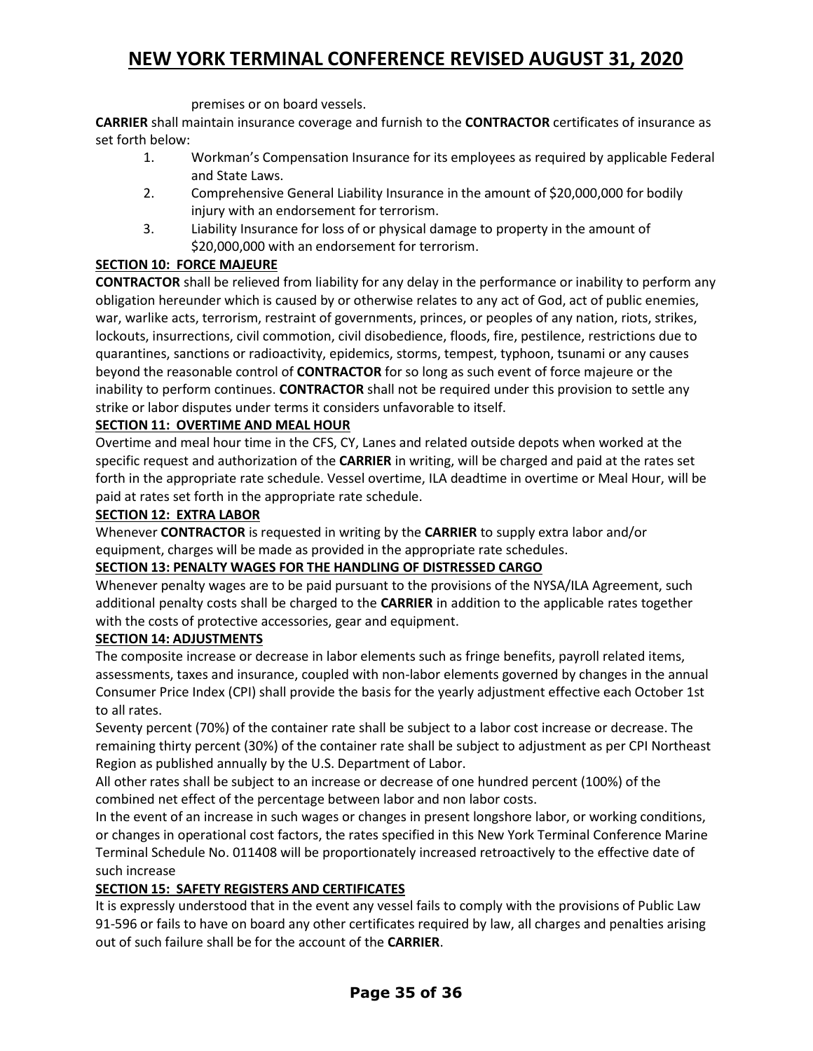premises or on board vessels.

**CARRIER** shall maintain insurance coverage and furnish to the **CONTRACTOR** certificates of insurance as set forth below:

- 1. Workman's Compensation Insurance for its employees as required by applicable Federal and State Laws.
- 2. Comprehensive General Liability Insurance in the amount of \$20,000,000 for bodily injury with an endorsement for terrorism.
- 3. Liability Insurance for loss of or physical damage to property in the amount of \$20,000,000 with an endorsement for terrorism.

## **SECTION 10: FORCE MAJEURE**

**CONTRACTOR** shall be relieved from liability for any delay in the performance or inability to perform any obligation hereunder which is caused by or otherwise relates to any act of God, act of public enemies, war, warlike acts, terrorism, restraint of governments, princes, or peoples of any nation, riots, strikes, lockouts, insurrections, civil commotion, civil disobedience, floods, fire, pestilence, restrictions due to quarantines, sanctions or radioactivity, epidemics, storms, tempest, typhoon, tsunami or any causes beyond the reasonable control of **CONTRACTOR** for so long as such event of force majeure or the inability to perform continues. **CONTRACTOR** shall not be required under this provision to settle any strike or labor disputes under terms it considers unfavorable to itself.

## **SECTION 11: OVERTIME AND MEAL HOUR**

Overtime and meal hour time in the CFS, CY, Lanes and related outside depots when worked at the specific request and authorization of the **CARRIER** in writing, will be charged and paid at the rates set forth in the appropriate rate schedule. Vessel overtime, ILA deadtime in overtime or Meal Hour, will be paid at rates set forth in the appropriate rate schedule.

## **SECTION 12: EXTRA LABOR**

Whenever **CONTRACTOR** is requested in writing by the **CARRIER** to supply extra labor and/or equipment, charges will be made as provided in the appropriate rate schedules.

## **SECTION 13: PENALTY WAGES FOR THE HANDLING OF DISTRESSED CARGO**

Whenever penalty wages are to be paid pursuant to the provisions of the NYSA/ILA Agreement, such additional penalty costs shall be charged to the **CARRIER** in addition to the applicable rates together with the costs of protective accessories, gear and equipment.

## **SECTION 14: ADJUSTMENTS**

The composite increase or decrease in labor elements such as fringe benefits, payroll related items, assessments, taxes and insurance, coupled with non-labor elements governed by changes in the annual Consumer Price Index (CPI) shall provide the basis for the yearly adjustment effective each October 1st to all rates.

Seventy percent (70%) of the container rate shall be subject to a labor cost increase or decrease. The remaining thirty percent (30%) of the container rate shall be subject to adjustment as per CPI Northeast Region as published annually by the U.S. Department of Labor.

All other rates shall be subject to an increase or decrease of one hundred percent (100%) of the combined net effect of the percentage between labor and non labor costs.

In the event of an increase in such wages or changes in present longshore labor, or working conditions, or changes in operational cost factors, the rates specified in this New York Terminal Conference Marine Terminal Schedule No. 011408 will be proportionately increased retroactively to the effective date of such increase

## **SECTION 15: SAFETY REGISTERS AND CERTIFICATES**

It is expressly understood that in the event any vessel fails to comply with the provisions of Public Law 91-596 or fails to have on board any other certificates required by law, all charges and penalties arising out of such failure shall be for the account of the **CARRIER**.